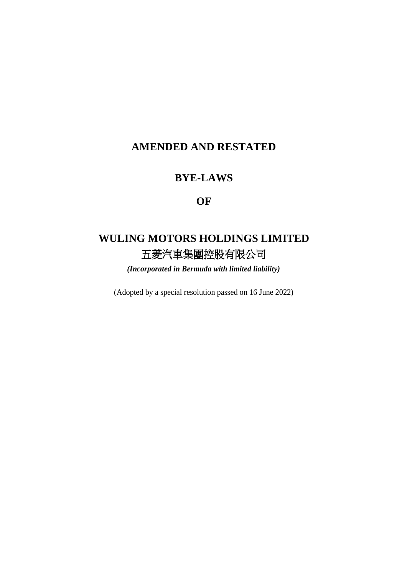# **AMENDED AND RESTATED**

# **BYE-LAWS**

# **OF**

# **WULING MOTORS HOLDINGS LIMITED** 五菱汽車集團控股有限公司

*(Incorporated in Bermuda with limited liability)*

(Adopted by a special resolution passed on 16 June 2022)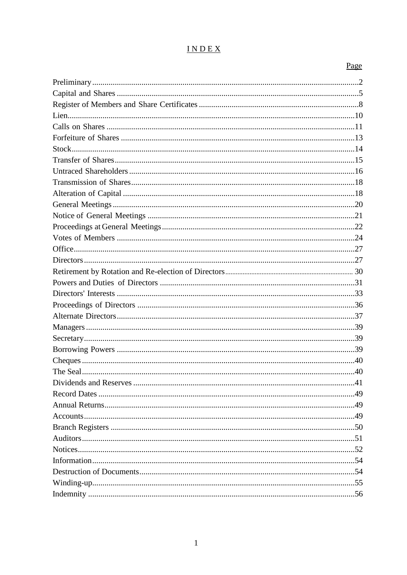# INDEX

# Page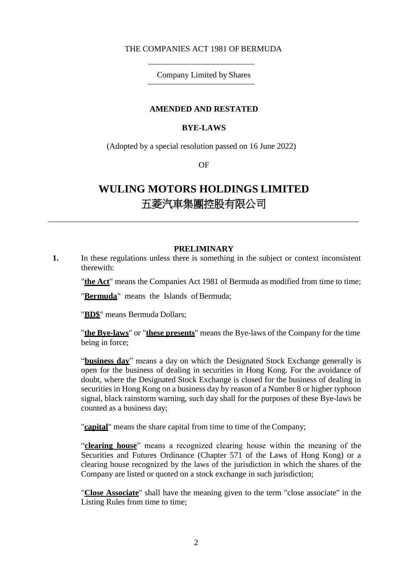# THE COMPANIES ACT 1981 OF BERMUDA

# Company Limited by Shares

### **AMENDED AND RESTATED**

#### **BYE-LAWS**

(Adopted by a special resolution passed on 16 June 2022)

OF

# **WULING MOTORS HOLDINGS LIMITED** 五菱汽車集團控股有限公司

#### **PRELIMINARY**

**1.** In these regulations unless there is something in the subject or context inconsistent therewith:

"**the Act**" means the Companies Act 1981 of Bermuda as modified from time to time;

"**Bermuda**" means the Islands of Bermuda;

"**BD\$**" means Bermuda Dollars;

"**the Bye-laws**" or "**these presents**" means the Bye-laws of the Company for the time being in force;

"**business day**" means a day on which the Designated Stock Exchange generally is open for the business of dealing in securities in Hong Kong. For the avoidance of doubt, where the Designated Stock Exchange is closed for the business of dealing in securities in Hong Kong on a business day by reason of a Number 8 or higher typhoon signal, black rainstorm warning, such day shall for the purposes of these Bye-laws be counted as a business day;

"**capital**" means the share capital from time to time of the Company;

"**clearing house**" means a recognized clearing house within the meaning of the Securities and Futures Ordinance (Chapter 571 of the Laws of Hong Kong) or a clearing house recognized by the laws of the jurisdiction in which the shares of the Company are listed or quoted on a stock exchange in such jurisdiction;

"**Close Associate**" shall have the meaning given to the term "close associate" in the Listing Rules from time to time;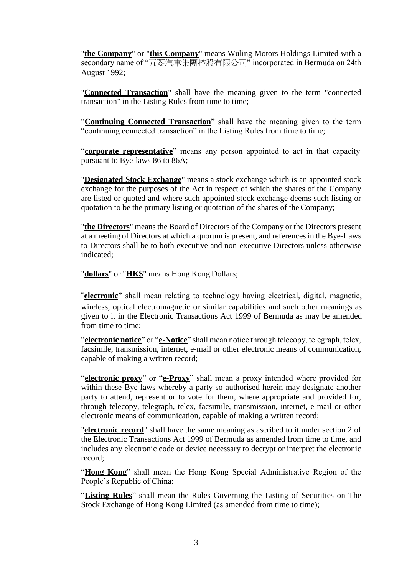"**the Company**" or "**this Company**" means Wuling Motors Holdings Limited with a secondary name of "五菱汽車集團控股有限公司" incorporated in Bermuda on 24th August 1992;

"**Connected Transaction**" shall have the meaning given to the term "connected transaction" in the Listing Rules from time to time;

"**Continuing Connected Transaction**" shall have the meaning given to the term "continuing connected transaction" in the Listing Rules from time to time;

"**corporate representative**" means any person appointed to act in that capacity pursuant to Bye-laws 86 to 86A;

"**Designated Stock Exchange**" means a stock exchange which is an appointed stock exchange for the purposes of the Act in respect of which the shares of the Company are listed or quoted and where such appointed stock exchange deems such listing or quotation to be the primary listing or quotation of the shares of the Company;

"**the Directors**" means the Board of Directors of the Company or the Directors present at a meeting of Directors at which a quorum is present, and references in the Bye-Laws to Directors shall be to both executive and non-executive Directors unless otherwise indicated;

"**dollars**" or "**HK\$**" means Hong Kong Dollars;

"**electronic**" shall mean relating to technology having electrical, digital, magnetic, wireless, optical electromagnetic or similar capabilities and such other meanings as given to it in the Electronic Transactions Act 1999 of Bermuda as may be amended from time to time;

"**electronic notice**" or "**e-Notice**" shall mean notice through telecopy, telegraph, telex, facsimile, transmission, internet, e-mail or other electronic means of communication, capable of making a written record;

"**electronic proxy**" or "**e-Proxy**" shall mean a proxy intended where provided for within these Bye-laws whereby a party so authorised herein may designate another party to attend, represent or to vote for them, where appropriate and provided for, through telecopy, telegraph, telex, facsimile, transmission, internet, e-mail or other electronic means of communication, capable of making a written record;

"**electronic record**" shall have the same meaning as ascribed to it under section 2 of the Electronic Transactions Act 1999 of Bermuda as amended from time to time, and includes any electronic code or device necessary to decrypt or interpret the electronic record;

"**Hong Kong**" shall mean the Hong Kong Special Administrative Region of the People's Republic of China;

"**Listing Rules**" shall mean the Rules Governing the Listing of Securities on The Stock Exchange of Hong Kong Limited (as amended from time to time);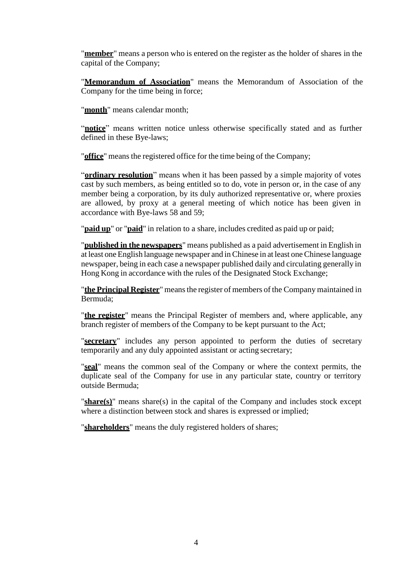"**member**" means a person who is entered on the register as the holder of shares in the capital of the Company;

"**Memorandum of Association**" means the Memorandum of Association of the Company for the time being in force;

"**month**" means calendar month;

"**notice**" means written notice unless otherwise specifically stated and as further defined in these Bye-laws;

"**office**" means the registered office for the time being of the Company;

"**ordinary resolution**" means when it has been passed by a simple majority of votes cast by such members, as being entitled so to do, vote in person or, in the case of any member being a corporation, by its duly authorized representative or, where proxies are allowed, by proxy at a general meeting of which notice has been given in accordance with Bye-laws 58 and 59;

"**paid up**" or "**paid**" in relation to a share, includes credited as paid up or paid;

"**published in the newspapers**" means published as a paid advertisement in English in at least oneEnglish language newspaper and inChinese in at least oneChinese language newspaper, being in each case a newspaper published daily and circulating generally in Hong Kong in accordance with the rules of the Designated Stock Exchange;

"**the Principal Register**" meansthe register of members of the Company maintained in Bermuda;

"**the register**" means the Principal Register of members and, where applicable, any branch register of members of the Company to be kept pursuant to the Act;

"**secretary**" includes any person appointed to perform the duties of secretary temporarily and any duly appointed assistant or acting secretary;

"**seal**" means the common seal of the Company or where the context permits, the duplicate seal of the Company for use in any particular state, country or territory outside Bermuda;

"**share(s)**" means share(s) in the capital of the Company and includes stock except where a distinction between stock and shares is expressed or implied;

"**shareholders**" means the duly registered holders of shares;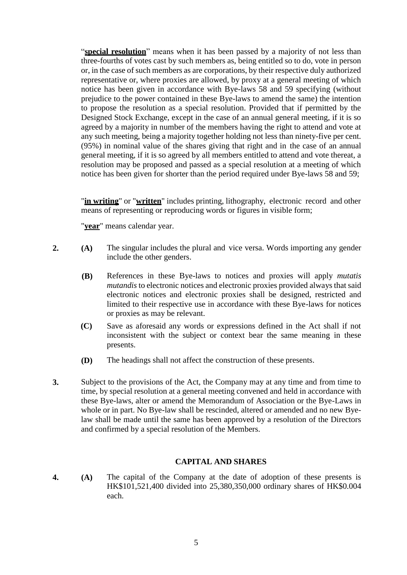"**special resolution**" means when it has been passed by a majority of not less than three-fourths of votes cast by such members as, being entitled so to do, vote in person or, in the case of such members as are corporations, by their respective duly authorized representative or, where proxies are allowed, by proxy at a general meeting of which notice has been given in accordance with Bye-laws 58 and 59 specifying (without prejudice to the power contained in these Bye-laws to amend the same) the intention to propose the resolution as a special resolution. Provided that if permitted by the Designed Stock Exchange, except in the case of an annual general meeting, if it is so agreed by a majority in number of the members having the right to attend and vote at any such meeting, being a majority together holding not less than ninety-five per cent. (95%) in nominal value of the shares giving that right and in the case of an annual general meeting, if it is so agreed by all members entitled to attend and vote thereat, a resolution may be proposed and passed as a special resolution at a meeting of which notice has been given for shorter than the period required under Bye-laws 58 and 59;

"**in writing**" or "**written**" includes printing, lithography, electronic record and other means of representing or reproducing words or figures in visible form;

"**year**" means calendar year.

- **2. (A)** The singular includes the plural and vice versa. Words importing any gender include the other genders.
	- **(B)** References in these Bye-laws to notices and proxies will apply *mutatis mutandis* to electronic notices and electronic proxies provided always that said electronic notices and electronic proxies shall be designed, restricted and limited to their respective use in accordance with these Bye-laws for notices or proxies as may be relevant.
	- **(C)** Save as aforesaid any words or expressions defined in the Act shall if not inconsistent with the subject or context bear the same meaning in these presents.
	- **(D)** The headings shall not affect the construction of these presents.
- **3.** Subject to the provisions of the Act, the Company may at any time and from time to time, by special resolution at a general meeting convened and held in accordance with these Bye-laws, alter or amend the Memorandum of Association or the Bye-Laws in whole or in part. No Bye-law shall be rescinded, altered or amended and no new Byelaw shall be made until the same has been approved by a resolution of the Directors and confirmed by a special resolution of the Members.

# **CAPITAL AND SHARES**

**4. (A)** The capital of the Company at the date of adoption of these presents is HK\$101,521,400 divided into 25,380,350,000 ordinary shares of HK\$0.004 each.

5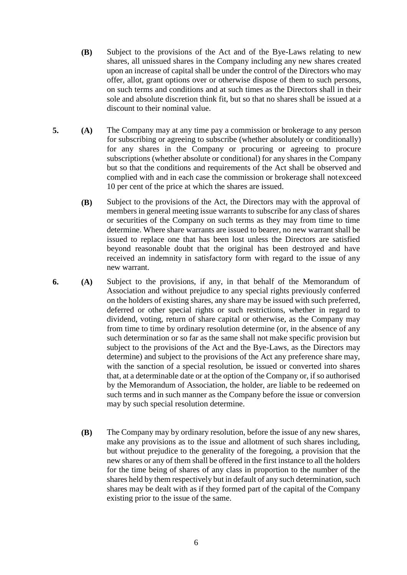- **(B)** Subject to the provisions of the Act and of the Bye-Laws relating to new shares, all unissued shares in the Company including any new shares created upon an increase of capital shall be under the control of the Directors who may offer, allot, grant options over or otherwise dispose of them to such persons, on such terms and conditions and at such times as the Directors shall in their sole and absolute discretion think fit, but so that no shares shall be issued at a discount to their nominal value.
- **5. (A)** The Company may at any time pay a commission or brokerage to any person for subscribing or agreeing to subscribe (whether absolutely or conditionally) for any shares in the Company or procuring or agreeing to procure subscriptions (whether absolute or conditional) for any shares in the Company but so that the conditions and requirements of the Act shall be observed and complied with and in each case the commission or brokerage shall notexceed 10 per cent of the price at which the shares are issued.
	- **(B)** Subject to the provisions of the Act, the Directors may with the approval of members in general meeting issue warrants to subscribe for any class of shares or securities of the Company on such terms as they may from time to time determine. Where share warrants are issued to bearer, no new warrant shall be issued to replace one that has been lost unless the Directors are satisfied beyond reasonable doubt that the original has been destroyed and have received an indemnity in satisfactory form with regard to the issue of any new warrant.
- **6. (A)** Subject to the provisions, if any, in that behalf of the Memorandum of Association and without prejudice to any special rights previously conferred on the holders of existing shares, any share may be issued with such preferred, deferred or other special rights or such restrictions, whether in regard to dividend, voting, return of share capital or otherwise, as the Company may from time to time by ordinary resolution determine (or, in the absence of any such determination or so far as the same shall not make specific provision but subject to the provisions of the Act and the Bye-Laws, as the Directors may determine) and subject to the provisions of the Act any preference share may, with the sanction of a special resolution, be issued or converted into shares that, at a determinable date or at the option of the Company or, if so authorised by the Memorandum of Association, the holder, are liable to be redeemed on such terms and in such manner as the Company before the issue or conversion may by such special resolution determine.
	- **(B)** The Company may by ordinary resolution, before the issue of any new shares, make any provisions as to the issue and allotment of such shares including, but without prejudice to the generality of the foregoing, a provision that the new shares or any of them shall be offered in the first instance to all the holders for the time being of shares of any class in proportion to the number of the shares held by them respectively but in default of any such determination, such shares may be dealt with as if they formed part of the capital of the Company existing prior to the issue of the same.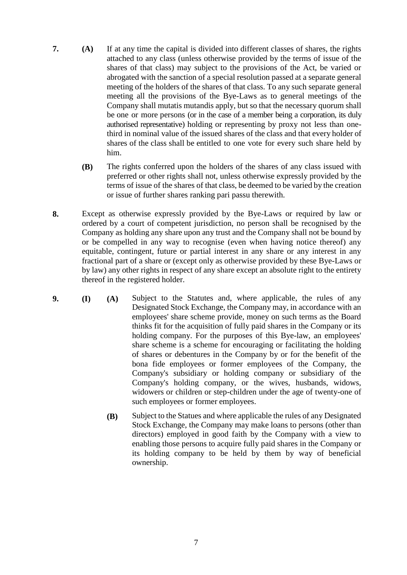- **7. (A)** If at any time the capital is divided into different classes of shares, the rights attached to any class (unless otherwise provided by the terms of issue of the shares of that class) may subject to the provisions of the Act, be varied or abrogated with the sanction of a special resolution passed at a separate general meeting of the holders of the shares of that class. To any such separate general meeting all the provisions of the Bye-Laws as to general meetings of the Company shall mutatis mutandis apply, but so that the necessary quorum shall be one or more persons (or in the case of a member being a corporation, its duly authorised representative) holding or representing by proxy not less than onethird in nominal value of the issued shares of the class and that every holder of shares of the class shall be entitled to one vote for every such share held by him.
	- **(B)** The rights conferred upon the holders of the shares of any class issued with preferred or other rights shall not, unless otherwise expressly provided by the terms of issue of the shares of that class, be deemed to be varied by the creation or issue of further shares ranking pari passu therewith.
- **8.** Except as otherwise expressly provided by the Bye-Laws or required by law or ordered by a court of competent jurisdiction, no person shall be recognised by the Company as holding any share upon any trust and the Company shall not be bound by or be compelled in any way to recognise (even when having notice thereof) any equitable, contingent, future or partial interest in any share or any interest in any fractional part of a share or (except only as otherwise provided by these Bye-Laws or by law) any other rights in respect of any share except an absolute right to the entirety thereof in the registered holder.
- **9. (I) (A)** Subject to the Statutes and, where applicable, the rules of any Designated Stock Exchange, the Company may, in accordance with an employees' share scheme provide, money on such terms as the Board thinks fit for the acquisition of fully paid shares in the Company or its holding company. For the purposes of this Bye-law, an employees' share scheme is a scheme for encouraging or facilitating the holding of shares or debentures in the Company by or for the benefit of the bona fide employees or former employees of the Company, the Company's subsidiary or holding company or subsidiary of the Company's holding company, or the wives, husbands, widows, widowers or children or step-children under the age of twenty-one of such employees or former employees.
	- **(B)** Subject to the Statues and where applicable the rules of any Designated Stock Exchange, the Company may make loans to persons (other than directors) employed in good faith by the Company with a view to enabling those persons to acquire fully paid shares in the Company or its holding company to be held by them by way of beneficial ownership.

7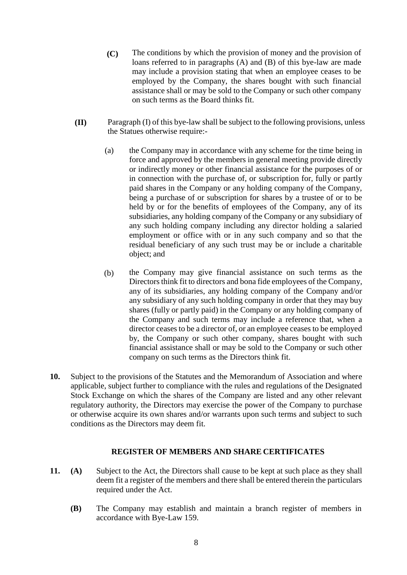- **(C)** The conditions by which the provision of money and the provision of loans referred to in paragraphs (A) and (B) of this bye-law are made may include a provision stating that when an employee ceases to be employed by the Company, the shares bought with such financial assistance shall or may be sold to the Company or such other company on such terms as the Board thinks fit.
- **(II)** Paragraph (I) of this bye-law shall be subject to the following provisions, unless the Statues otherwise require:-
	- (a) the Company may in accordance with any scheme for the time being in force and approved by the members in general meeting provide directly or indirectly money or other financial assistance for the purposes of or in connection with the purchase of, or subscription for, fully or partly paid shares in the Company or any holding company of the Company, being a purchase of or subscription for shares by a trustee of or to be held by or for the benefits of employees of the Company, any of its subsidiaries, any holding company of the Company or any subsidiary of any such holding company including any director holding a salaried employment or office with or in any such company and so that the residual beneficiary of any such trust may be or include a charitable object; and
	- (b) the Company may give financial assistance on such terms as the Directors think fit to directors and bona fide employees of the Company, any of its subsidiaries, any holding company of the Company and/or any subsidiary of any such holding company in order that they may buy shares (fully or partly paid) in the Company or any holding company of the Company and such terms may include a reference that, when a director ceases to be a director of, or an employee ceases to be employed by, the Company or such other company, shares bought with such financial assistance shall or may be sold to the Company or such other company on such terms as the Directors think fit.
- **10.** Subject to the provisions of the Statutes and the Memorandum of Association and where applicable, subject further to compliance with the rules and regulations of the Designated Stock Exchange on which the shares of the Company are listed and any other relevant regulatory authority, the Directors may exercise the power of the Company to purchase or otherwise acquire its own shares and/or warrants upon such terms and subject to such conditions as the Directors may deem fit.

#### **REGISTER OF MEMBERS AND SHARE CERTIFICATES**

- **11. (A)** Subject to the Act, the Directors shall cause to be kept at such place as they shall deem fit a register of the members and there shall be entered therein the particulars required under the Act.
	- **(B)** The Company may establish and maintain a branch register of members in accordance with Bye-Law 159.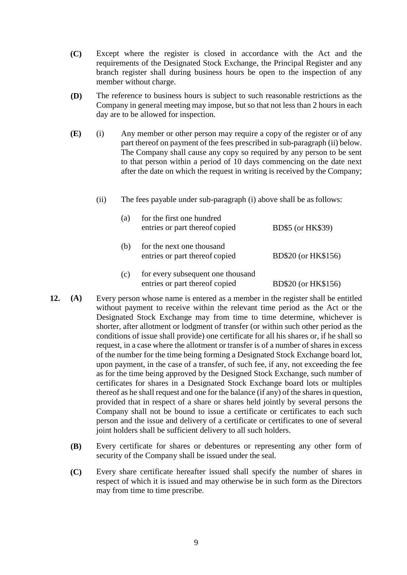- **(C)** Except where the register is closed in accordance with the Act and the requirements of the Designated Stock Exchange, the Principal Register and any branch register shall during business hours be open to the inspection of any member without charge.
- **(D)** The reference to business hours is subject to such reasonable restrictions as the Company in general meeting may impose, but so that not less than 2 hours in each day are to be allowed for inspection.
- **(E)** (i) Any member or other person may require a copy of the register or of any part thereof on payment of the fees prescribed in sub-paragraph (ii) below. The Company shall cause any copy so required by any person to be sent to that person within a period of 10 days commencing on the date next after the date on which the request in writing is received by the Company;
	- (ii) The fees payable under sub-paragraph (i) above shall be as follows:

| (a) | for the first one hundred<br>entries or part thereof copied         | BD\$5 (or HK\$39)   |
|-----|---------------------------------------------------------------------|---------------------|
| (b) | for the next one thousand<br>entries or part thereof copied         | BD\$20 (or HK\$156) |
| (c) | for every subsequent one thousand<br>entries or part thereof copied | BD\$20 (or HK\$156) |

- **12. (A)** Every person whose name is entered as a member in the register shall be entitled without payment to receive within the relevant time period as the Act or the Designated Stock Exchange may from time to time determine, whichever is shorter, after allotment or lodgment of transfer (or within such other period as the conditions of issue shall provide) one certificate for all his shares or, if he shall so request, in a case where the allotment or transfer is of a number of shares in excess of the number for the time being forming a Designated Stock Exchange board lot, upon payment, in the case of a transfer, of such fee, if any, not exceeding the fee as for the time being approved by the Designed Stock Exchange, such number of certificates for shares in a Designated Stock Exchange board lots or multiples thereof as he shall request and one for the balance (if any) of the shares in question, provided that in respect of a share or shares held jointly by several persons the Company shall not be bound to issue a certificate or certificates to each such person and the issue and delivery of a certificate or certificates to one of several joint holders shall be sufficient delivery to all such holders.
	- **(B)** Every certificate for shares or debentures or representing any other form of security of the Company shall be issued under the seal.
	- **(C)** Every share certificate hereafter issued shall specify the number of shares in respect of which it is issued and may otherwise be in such form as the Directors may from time to time prescribe.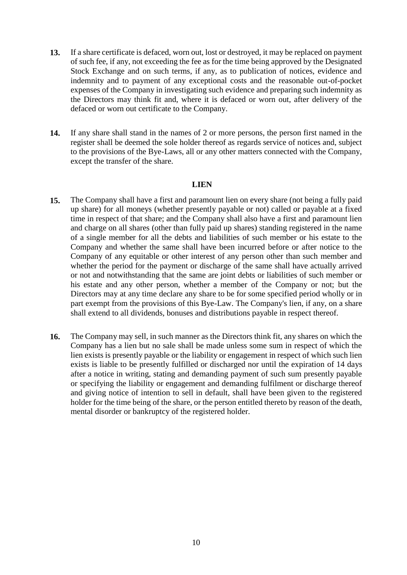- **13.** If a share certificate is defaced, worn out, lost or destroyed, it may be replaced on payment of such fee, if any, not exceeding the fee as for the time being approved by the Designated Stock Exchange and on such terms, if any, as to publication of notices, evidence and indemnity and to payment of any exceptional costs and the reasonable out-of-pocket expenses of the Company in investigating such evidence and preparing such indemnity as the Directors may think fit and, where it is defaced or worn out, after delivery of the defaced or worn out certificate to the Company.
- **14.** If any share shall stand in the names of 2 or more persons, the person first named in the register shall be deemed the sole holder thereof as regards service of notices and, subject to the provisions of the Bye-Laws, all or any other matters connected with the Company, except the transfer of the share.

#### **LIEN**

- **15.** The Company shall have a first and paramount lien on every share (not being a fully paid up share) for all moneys (whether presently payable or not) called or payable at a fixed time in respect of that share; and the Company shall also have a first and paramount lien and charge on all shares (other than fully paid up shares) standing registered in the name of a single member for all the debts and liabilities of such member or his estate to the Company and whether the same shall have been incurred before or after notice to the Company of any equitable or other interest of any person other than such member and whether the period for the payment or discharge of the same shall have actually arrived or not and notwithstanding that the same are joint debts or liabilities of such member or his estate and any other person, whether a member of the Company or not; but the Directors may at any time declare any share to be for some specified period wholly or in part exempt from the provisions of this Bye-Law. The Company's lien, if any, on a share shall extend to all dividends, bonuses and distributions payable in respect thereof.
- **16.** The Company may sell, in such manner as the Directors think fit, any shares on which the Company has a lien but no sale shall be made unless some sum in respect of which the lien exists is presently payable or the liability or engagement in respect of which such lien exists is liable to be presently fulfilled or discharged nor until the expiration of 14 days after a notice in writing, stating and demanding payment of such sum presently payable or specifying the liability or engagement and demanding fulfilment or discharge thereof and giving notice of intention to sell in default, shall have been given to the registered holder for the time being of the share, or the person entitled thereto by reason of the death, mental disorder or bankruptcy of the registered holder.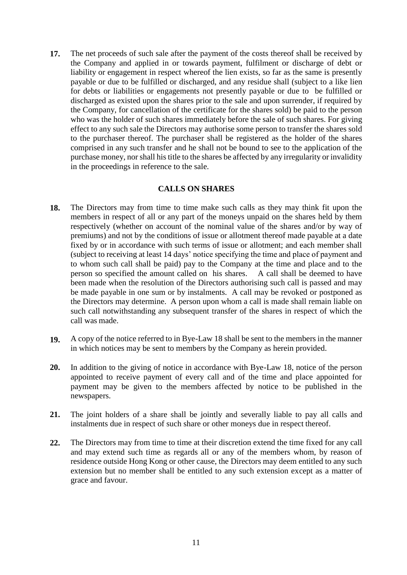**17.** The net proceeds of such sale after the payment of the costs thereof shall be received by the Company and applied in or towards payment, fulfilment or discharge of debt or liability or engagement in respect whereof the lien exists, so far as the same is presently payable or due to be fulfilled or discharged, and any residue shall (subject to a like lien for debts or liabilities or engagements not presently payable or due to be fulfilled or discharged as existed upon the shares prior to the sale and upon surrender, if required by the Company, for cancellation of the certificate for the shares sold) be paid to the person who was the holder of such shares immediately before the sale of such shares. For giving effect to any such sale the Directors may authorise some person to transfer the shares sold to the purchaser thereof. The purchaser shall be registered as the holder of the shares comprised in any such transfer and he shall not be bound to see to the application of the purchase money, nor shall his title to the shares be affected by any irregularity or invalidity in the proceedings in reference to the sale.

# **CALLS ON SHARES**

- **18.** The Directors may from time to time make such calls as they may think fit upon the members in respect of all or any part of the moneys unpaid on the shares held by them respectively (whether on account of the nominal value of the shares and/or by way of premiums) and not by the conditions of issue or allotment thereof made payable at a date fixed by or in accordance with such terms of issue or allotment; and each member shall (subject to receiving at least 14 days' notice specifying the time and place of payment and to whom such call shall be paid) pay to the Company at the time and place and to the person so specified the amount called on his shares. A call shall be deemed to have been made when the resolution of the Directors authorising such call is passed and may be made payable in one sum or by instalments. A call may be revoked or postponed as the Directors may determine. A person upon whom a call is made shall remain liable on such call notwithstanding any subsequent transfer of the shares in respect of which the call was made.
- **19.** A copy of the notice referred to in Bye-Law 18 shall be sent to the members in the manner in which notices may be sent to members by the Company as herein provided.
- **20.** In addition to the giving of notice in accordance with Bye-Law 18, notice of the person appointed to receive payment of every call and of the time and place appointed for payment may be given to the members affected by notice to be published in the newspapers.
- **21.** The joint holders of a share shall be jointly and severally liable to pay all calls and instalments due in respect of such share or other moneys due in respect thereof.
- **22.** The Directors may from time to time at their discretion extend the time fixed for any call and may extend such time as regards all or any of the members whom, by reason of residence outside Hong Kong or other cause, the Directors may deem entitled to any such extension but no member shall be entitled to any such extension except as a matter of grace and favour.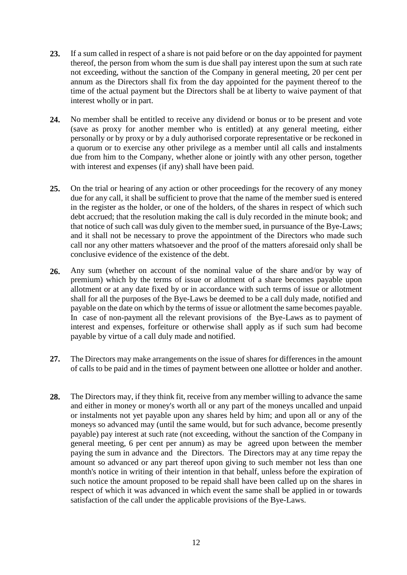- **23.** If a sum called in respect of a share is not paid before or on the day appointed for payment thereof, the person from whom the sum is due shall pay interest upon the sum at such rate not exceeding, without the sanction of the Company in general meeting, 20 per cent per annum as the Directors shall fix from the day appointed for the payment thereof to the time of the actual payment but the Directors shall be at liberty to waive payment of that interest wholly or in part.
- **24.** No member shall be entitled to receive any dividend or bonus or to be present and vote (save as proxy for another member who is entitled) at any general meeting, either personally or by proxy or by a duly authorised corporate representative or be reckoned in a quorum or to exercise any other privilege as a member until all calls and instalments due from him to the Company, whether alone or jointly with any other person, together with interest and expenses (if any) shall have been paid.
- **25.** On the trial or hearing of any action or other proceedings for the recovery of any money due for any call, it shall be sufficient to prove that the name of the member sued is entered in the register as the holder, or one of the holders, of the shares in respect of which such debt accrued; that the resolution making the call is duly recorded in the minute book; and that notice of such call was duly given to the member sued, in pursuance of the Bye-Laws; and it shall not be necessary to prove the appointment of the Directors who made such call nor any other matters whatsoever and the proof of the matters aforesaid only shall be conclusive evidence of the existence of the debt.
- **26.** Any sum (whether on account of the nominal value of the share and/or by way of premium) which by the terms of issue or allotment of a share becomes payable upon allotment or at any date fixed by or in accordance with such terms of issue or allotment shall for all the purposes of the Bye-Laws be deemed to be a call duly made, notified and payable on the date on which by the terms of issue or allotment the same becomes payable. In case of non-payment all the relevant provisions of the Bye-Laws as to payment of interest and expenses, forfeiture or otherwise shall apply as if such sum had become payable by virtue of a call duly made and notified.
- **27.** The Directors may make arrangements on the issue of shares for differences in the amount of calls to be paid and in the times of payment between one allottee or holder and another.
- **28.** The Directors may, if they think fit, receive from any member willing to advance the same and either in money or money's worth all or any part of the moneys uncalled and unpaid or instalments not yet payable upon any shares held by him; and upon all or any of the moneys so advanced may (until the same would, but for such advance, become presently payable) pay interest at such rate (not exceeding, without the sanction of the Company in general meeting, 6 per cent per annum) as may be agreed upon between the member paying the sum in advance and the Directors. The Directors may at any time repay the amount so advanced or any part thereof upon giving to such member not less than one month's notice in writing of their intention in that behalf, unless before the expiration of such notice the amount proposed to be repaid shall have been called up on the shares in respect of which it was advanced in which event the same shall be applied in or towards satisfaction of the call under the applicable provisions of the Bye-Laws.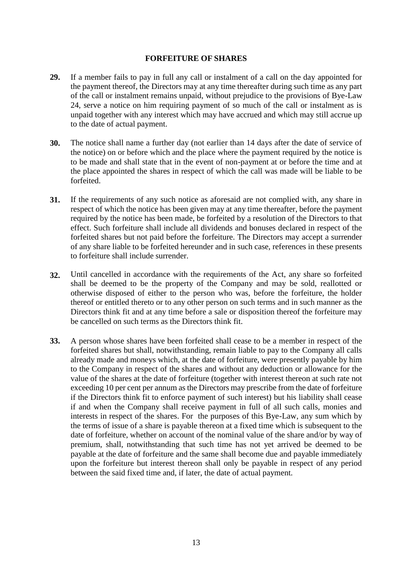### **FORFEITURE OF SHARES**

- **29.** If a member fails to pay in full any call or instalment of a call on the day appointed for the payment thereof, the Directors may at any time thereafter during such time as any part of the call or instalment remains unpaid, without prejudice to the provisions of Bye-Law 24, serve a notice on him requiring payment of so much of the call or instalment as is unpaid together with any interest which may have accrued and which may still accrue up to the date of actual payment.
- **30.** The notice shall name a further day (not earlier than 14 days after the date of service of the notice) on or before which and the place where the payment required by the notice is to be made and shall state that in the event of non-payment at or before the time and at the place appointed the shares in respect of which the call was made will be liable to be forfeited.
- **31.** If the requirements of any such notice as aforesaid are not complied with, any share in respect of which the notice has been given may at any time thereafter, before the payment required by the notice has been made, be forfeited by a resolution of the Directors to that effect. Such forfeiture shall include all dividends and bonuses declared in respect of the forfeited shares but not paid before the forfeiture. The Directors may accept a surrender of any share liable to be forfeited hereunder and in such case, references in these presents to forfeiture shall include surrender.
- **32.** Until cancelled in accordance with the requirements of the Act, any share so forfeited shall be deemed to be the property of the Company and may be sold, reallotted or otherwise disposed of either to the person who was, before the forfeiture, the holder thereof or entitled thereto or to any other person on such terms and in such manner as the Directors think fit and at any time before a sale or disposition thereof the forfeiture may be cancelled on such terms as the Directors think fit.
- **33.** A person whose shares have been forfeited shall cease to be a member in respect of the forfeited shares but shall, notwithstanding, remain liable to pay to the Company all calls already made and moneys which, at the date of forfeiture, were presently payable by him to the Company in respect of the shares and without any deduction or allowance for the value of the shares at the date of forfeiture (together with interest thereon at such rate not exceeding 10 per cent per annum as the Directors may prescribe from the date of forfeiture if the Directors think fit to enforce payment of such interest) but his liability shall cease if and when the Company shall receive payment in full of all such calls, monies and interests in respect of the shares. For the purposes of this Bye-Law, any sum which by the terms of issue of a share is payable thereon at a fixed time which is subsequent to the date of forfeiture, whether on account of the nominal value of the share and/or by way of premium, shall, notwithstanding that such time has not yet arrived be deemed to be payable at the date of forfeiture and the same shall become due and payable immediately upon the forfeiture but interest thereon shall only be payable in respect of any period between the said fixed time and, if later, the date of actual payment.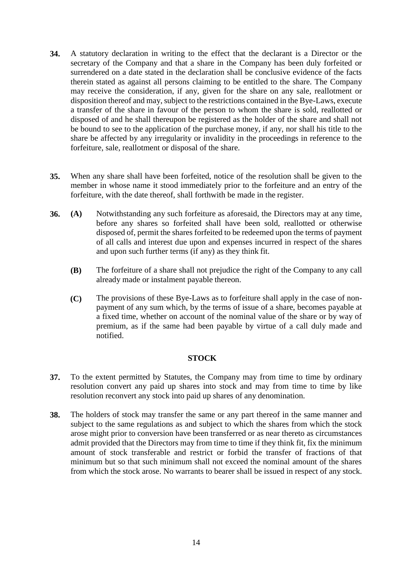- **34.** A statutory declaration in writing to the effect that the declarant is a Director or the secretary of the Company and that a share in the Company has been duly forfeited or surrendered on a date stated in the declaration shall be conclusive evidence of the facts therein stated as against all persons claiming to be entitled to the share. The Company may receive the consideration, if any, given for the share on any sale, reallotment or disposition thereof and may, subject to the restrictions contained in the Bye-Laws, execute a transfer of the share in favour of the person to whom the share is sold, reallotted or disposed of and he shall thereupon be registered as the holder of the share and shall not be bound to see to the application of the purchase money, if any, nor shall his title to the share be affected by any irregularity or invalidity in the proceedings in reference to the forfeiture, sale, reallotment or disposal of the share.
- **35.** When any share shall have been forfeited, notice of the resolution shall be given to the member in whose name it stood immediately prior to the forfeiture and an entry of the forfeiture, with the date thereof, shall forthwith be made in the register.
- **36. (A)** Notwithstanding any such forfeiture as aforesaid, the Directors may at any time, before any shares so forfeited shall have been sold, reallotted or otherwise disposed of, permit the shares forfeited to be redeemed upon the terms of payment of all calls and interest due upon and expenses incurred in respect of the shares and upon such further terms (if any) as they think fit.
	- **(B)** The forfeiture of a share shall not prejudice the right of the Company to any call already made or instalment payable thereon.
	- **(C)** The provisions of these Bye-Laws as to forfeiture shall apply in the case of nonpayment of any sum which, by the terms of issue of a share, becomes payable at a fixed time, whether on account of the nominal value of the share or by way of premium, as if the same had been payable by virtue of a call duly made and notified.

# **STOCK**

- **37.** To the extent permitted by Statutes, the Company may from time to time by ordinary resolution convert any paid up shares into stock and may from time to time by like resolution reconvert any stock into paid up shares of any denomination.
- **38.** The holders of stock may transfer the same or any part thereof in the same manner and subject to the same regulations as and subject to which the shares from which the stock arose might prior to conversion have been transferred or as near thereto as circumstances admit provided that the Directors may from time to time if they think fit, fix the minimum amount of stock transferable and restrict or forbid the transfer of fractions of that minimum but so that such minimum shall not exceed the nominal amount of the shares from which the stock arose. No warrants to bearer shall be issued in respect of any stock.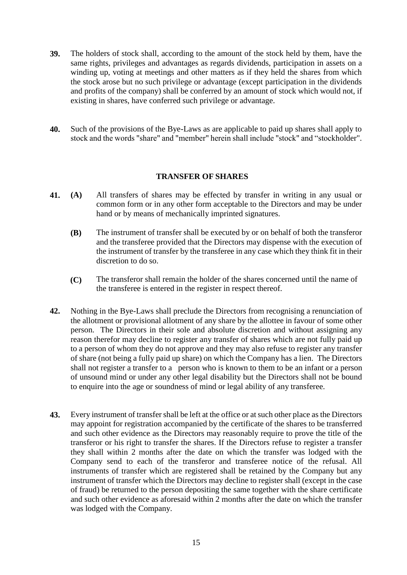- **39.** The holders of stock shall, according to the amount of the stock held by them, have the same rights, privileges and advantages as regards dividends, participation in assets on a winding up, voting at meetings and other matters as if they held the shares from which the stock arose but no such privilege or advantage (except participation in the dividends and profits of the company) shall be conferred by an amount of stock which would not, if existing in shares, have conferred such privilege or advantage.
- **40.** Such of the provisions of the Bye-Laws as are applicable to paid up shares shall apply to stock and the words "share" and "member" herein shall include "stock" and "stockholder".

# **TRANSFER OF SHARES**

- **41. (A)** All transfers of shares may be effected by transfer in writing in any usual or common form or in any other form acceptable to the Directors and may be under hand or by means of mechanically imprinted signatures.
	- **(B)** The instrument of transfer shall be executed by or on behalf of both the transferor and the transferee provided that the Directors may dispense with the execution of the instrument of transfer by the transferee in any case which they think fit in their discretion to do so.
	- **(C)** The transferor shall remain the holder of the shares concerned until the name of the transferee is entered in the register in respect thereof.
- **42.** Nothing in the Bye-Laws shall preclude the Directors from recognising a renunciation of the allotment or provisional allotment of any share by the allottee in favour of some other person. The Directors in their sole and absolute discretion and without assigning any reason therefor may decline to register any transfer of shares which are not fully paid up to a person of whom they do not approve and they may also refuse to register any transfer of share (not being a fully paid up share) on which the Company has a lien. The Directors shall not register a transfer to a person who is known to them to be an infant or a person of unsound mind or under any other legal disability but the Directors shall not be bound to enquire into the age or soundness of mind or legal ability of any transferee.
- **43.** Every instrument of transfer shall be left at the office or at such other place as the Directors may appoint for registration accompanied by the certificate of the shares to be transferred and such other evidence as the Directors may reasonably require to prove the title of the transferor or his right to transfer the shares. If the Directors refuse to register a transfer they shall within 2 months after the date on which the transfer was lodged with the Company send to each of the transferor and transferee notice of the refusal. All instruments of transfer which are registered shall be retained by the Company but any instrument of transfer which the Directors may decline to register shall (except in the case of fraud) be returned to the person depositing the same together with the share certificate and such other evidence as aforesaid within 2 months after the date on which the transfer was lodged with the Company.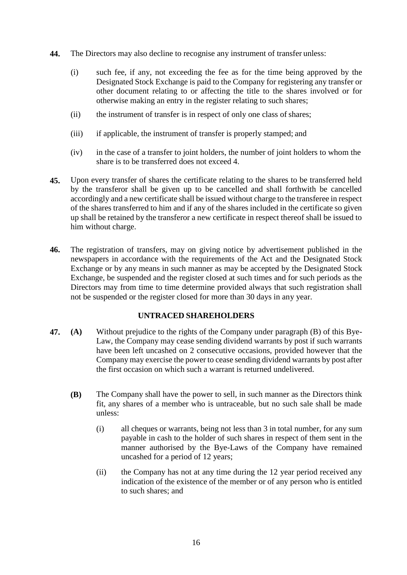- **44.** The Directors may also decline to recognise any instrument of transfer unless:
	- (i) such fee, if any, not exceeding the fee as for the time being approved by the Designated Stock Exchange is paid to the Company for registering any transfer or other document relating to or affecting the title to the shares involved or for otherwise making an entry in the register relating to such shares;
	- (ii) the instrument of transfer is in respect of only one class of shares;
	- (iii) if applicable, the instrument of transfer is properly stamped; and
	- (iv) in the case of a transfer to joint holders, the number of joint holders to whom the share is to be transferred does not exceed 4.
- **45.** Upon every transfer of shares the certificate relating to the shares to be transferred held by the transferor shall be given up to be cancelled and shall forthwith be cancelled accordingly and a new certificate shall be issued without charge to the transferee in respect of the shares transferred to him and if any of the shares included in the certificate so given up shall be retained by the transferor a new certificate in respect thereof shall be issued to him without charge.
- **46.** The registration of transfers, may on giving notice by advertisement published in the newspapers in accordance with the requirements of the Act and the Designated Stock Exchange or by any means in such manner as may be accepted by the Designated Stock Exchange, be suspended and the register closed at such times and for such periods as the Directors may from time to time determine provided always that such registration shall not be suspended or the register closed for more than 30 days in any year.

# **UNTRACED SHAREHOLDERS**

- **47. (A)** Without prejudice to the rights of the Company under paragraph (B) of this Bye-Law, the Company may cease sending dividend warrants by post if such warrants have been left uncashed on 2 consecutive occasions, provided however that the Company may exercise the power to cease sending dividend warrants by post after the first occasion on which such a warrant is returned undelivered.
	- **(B)** The Company shall have the power to sell, in such manner as the Directors think fit, any shares of a member who is untraceable, but no such sale shall be made unless:
		- (i) all cheques or warrants, being not less than 3 in total number, for any sum payable in cash to the holder of such shares in respect of them sent in the manner authorised by the Bye-Laws of the Company have remained uncashed for a period of 12 years;
		- (ii) the Company has not at any time during the 12 year period received any indication of the existence of the member or of any person who is entitled to such shares; and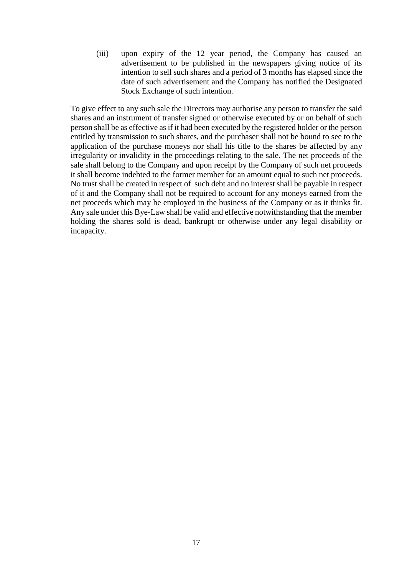(iii) upon expiry of the 12 year period, the Company has caused an advertisement to be published in the newspapers giving notice of its intention to sell such shares and a period of 3 months has elapsed since the date of such advertisement and the Company has notified the Designated Stock Exchange of such intention.

To give effect to any such sale the Directors may authorise any person to transfer the said shares and an instrument of transfer signed or otherwise executed by or on behalf of such person shall be as effective as if it had been executed by the registered holder or the person entitled by transmission to such shares, and the purchaser shall not be bound to see to the application of the purchase moneys nor shall his title to the shares be affected by any irregularity or invalidity in the proceedings relating to the sale. The net proceeds of the sale shall belong to the Company and upon receipt by the Company of such net proceeds it shall become indebted to the former member for an amount equal to such net proceeds. No trust shall be created in respect of such debt and no interest shall be payable in respect of it and the Company shall not be required to account for any moneys earned from the net proceeds which may be employed in the business of the Company or as it thinks fit. Any sale under this Bye-Law shall be valid and effective notwithstanding that the member holding the shares sold is dead, bankrupt or otherwise under any legal disability or incapacity.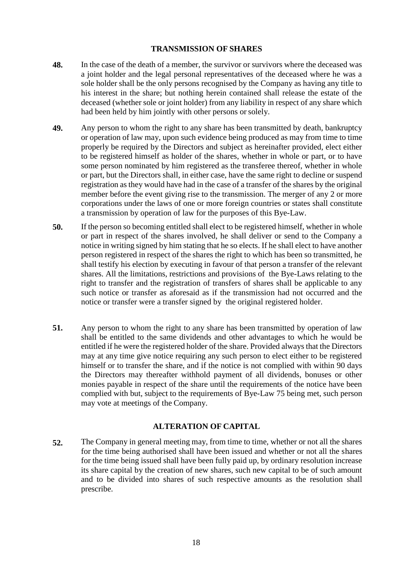# **TRANSMISSION OF SHARES**

- **48.** In the case of the death of a member, the survivor or survivors where the deceased was a joint holder and the legal personal representatives of the deceased where he was a sole holder shall be the only persons recognised by the Company as having any title to his interest in the share; but nothing herein contained shall release the estate of the deceased (whether sole or joint holder) from any liability in respect of any share which had been held by him jointly with other persons orsolely.
- **49.** Any person to whom the right to any share has been transmitted by death, bankruptcy or operation of law may, upon such evidence being produced as may from time to time properly be required by the Directors and subject as hereinafter provided, elect either to be registered himself as holder of the shares, whether in whole or part, or to have some person nominated by him registered as the transferee thereof, whether in whole or part, but the Directors shall, in either case, have the same right to decline or suspend registration as they would have had in the case of a transfer of the shares by the original member before the event giving rise to the transmission. The merger of any 2 or more corporations under the laws of one or more foreign countries or states shall constitute a transmission by operation of law for the purposes of this Bye-Law.
- **50.** If the person so becoming entitled shall elect to be registered himself, whether in whole or part in respect of the shares involved, he shall deliver or send to the Company a notice in writing signed by him stating that he so elects. If he shall elect to have another person registered in respect of the shares the right to which has been so transmitted, he shall testify his election by executing in favour of that person a transfer of the relevant shares. All the limitations, restrictions and provisions of the Bye-Laws relating to the right to transfer and the registration of transfers of shares shall be applicable to any such notice or transfer as aforesaid as if the transmission had not occurred and the notice or transfer were a transfer signed by the original registered holder.
- **51.** Any person to whom the right to any share has been transmitted by operation of law shall be entitled to the same dividends and other advantages to which he would be entitled if he were the registered holder of the share. Provided always that the Directors may at any time give notice requiring any such person to elect either to be registered himself or to transfer the share, and if the notice is not complied with within 90 days the Directors may thereafter withhold payment of all dividends, bonuses or other monies payable in respect of the share until the requirements of the notice have been complied with but, subject to the requirements of Bye-Law 75 being met, such person may vote at meetings of the Company.

# **ALTERATION OF CAPITAL**

**52.** The Company in general meeting may, from time to time, whether or not all the shares for the time being authorised shall have been issued and whether or not all the shares for the time being issued shall have been fully paid up, by ordinary resolution increase its share capital by the creation of new shares, such new capital to be of such amount and to be divided into shares of such respective amounts as the resolution shall prescribe.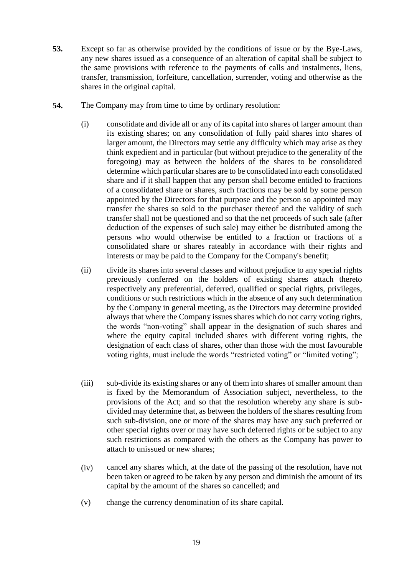- **53.** Except so far as otherwise provided by the conditions of issue or by the Bye-Laws, any new shares issued as a consequence of an alteration of capital shall be subject to the same provisions with reference to the payments of calls and instalments, liens, transfer, transmission, forfeiture, cancellation, surrender, voting and otherwise as the shares in the original capital.
- **54.** The Company may from time to time by ordinary resolution:
	- (i) consolidate and divide all or any of its capital into shares of larger amount than its existing shares; on any consolidation of fully paid shares into shares of larger amount, the Directors may settle any difficulty which may arise as they think expedient and in particular (but without prejudice to the generality of the foregoing) may as between the holders of the shares to be consolidated determine which particular shares are to be consolidated into each consolidated share and if it shall happen that any person shall become entitled to fractions of a consolidated share or shares, such fractions may be sold by some person appointed by the Directors for that purpose and the person so appointed may transfer the shares so sold to the purchaser thereof and the validity of such transfer shall not be questioned and so that the net proceeds of such sale (after deduction of the expenses of such sale) may either be distributed among the persons who would otherwise be entitled to a fraction or fractions of a consolidated share or shares rateably in accordance with their rights and interests or may be paid to the Company for the Company's benefit;
	- (ii) divide its shares into several classes and without prejudice to any special rights previously conferred on the holders of existing shares attach thereto respectively any preferential, deferred, qualified or special rights, privileges, conditions or such restrictions which in the absence of any such determination by the Company in general meeting, as the Directors may determine provided always that where the Company issues shares which do not carry voting rights, the words "non-voting" shall appear in the designation of such shares and where the equity capital included shares with different voting rights, the designation of each class of shares, other than those with the most favourable voting rights, must include the words "restricted voting" or "limited voting";
	- (iii) sub-divide its existing shares or any of them into shares of smaller amount than is fixed by the Memorandum of Association subject, nevertheless, to the provisions of the Act; and so that the resolution whereby any share is subdivided may determine that, as between the holders of the shares resulting from such sub-division, one or more of the shares may have any such preferred or other special rights over or may have such deferred rights or be subject to any such restrictions as compared with the others as the Company has power to attach to unissued or new shares;
	- (iv) cancel any shares which, at the date of the passing of the resolution, have not been taken or agreed to be taken by any person and diminish the amount of its capital by the amount of the shares so cancelled; and
	- (v) change the currency denomination of its share capital.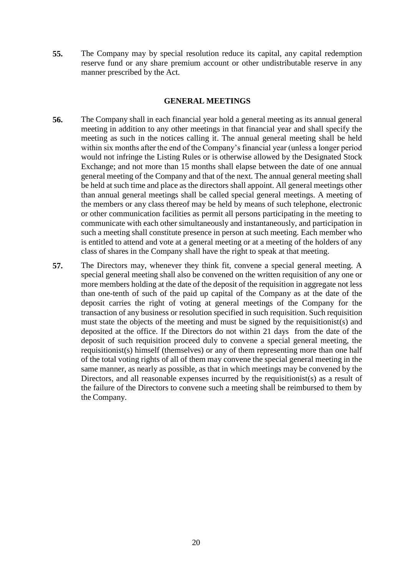**55.** The Company may by special resolution reduce its capital, any capital redemption reserve fund or any share premium account or other undistributable reserve in any manner prescribed by the Act.

# **GENERAL MEETINGS**

- **56.** The Company shall in each financial year hold a general meeting as its annual general meeting in addition to any other meetings in that financial year and shall specify the meeting as such in the notices calling it. The annual general meeting shall be held within six months after the end of the Company's financial year (unless a longer period would not infringe the Listing Rules or is otherwise allowed by the Designated Stock Exchange; and not more than 15 months shall elapse between the date of one annual general meeting of the Company and that of the next. The annual general meeting shall be held at such time and place as the directors shall appoint. All general meetings other than annual general meetings shall be called special general meetings. A meeting of the members or any class thereof may be held by means of such telephone, electronic or other communication facilities as permit all persons participating in the meeting to communicate with each other simultaneously and instantaneously, and participation in such a meeting shall constitute presence in person at such meeting. Each member who is entitled to attend and vote at a general meeting or at a meeting of the holders of any class of shares in the Company shall have the right to speak at that meeting.
- **57.** The Directors may, whenever they think fit, convene a special general meeting. A special general meeting shall also be convened on the written requisition of any one or more members holding at the date of the deposit of the requisition in aggregate not less than one-tenth of such of the paid up capital of the Company as at the date of the deposit carries the right of voting at general meetings of the Company for the transaction of any business or resolution specified in such requisition. Such requisition must state the objects of the meeting and must be signed by the requisitionist(s) and deposited at the office. If the Directors do not within 21 days from the date of the deposit of such requisition proceed duly to convene a special general meeting, the requisitionist(s) himself (themselves) or any of them representing more than one half of the total voting rights of all of them may convene the special general meeting in the same manner, as nearly as possible, as that in which meetings may be convened by the Directors, and all reasonable expenses incurred by the requisitionist(s) as a result of the failure of the Directors to convene such a meeting shall be reimbursed to them by the Company.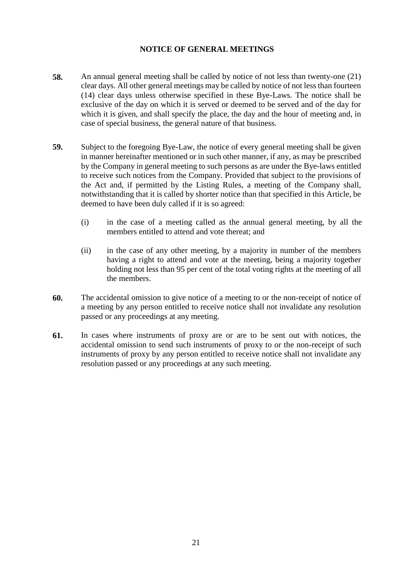# **NOTICE OF GENERAL MEETINGS**

- **58.** An annual general meeting shall be called by notice of not less than twenty-one (21) clear days. All other general meetings may be called by notice of not less than fourteen (14) clear days unless otherwise specified in these Bye-Laws. The notice shall be exclusive of the day on which it is served or deemed to be served and of the day for which it is given, and shall specify the place, the day and the hour of meeting and, in case of special business, the general nature of that business.
- **59.** Subject to the foregoing Bye-Law, the notice of every general meeting shall be given in manner hereinafter mentioned or in such other manner, if any, as may be prescribed by the Company in general meeting to such persons as are under the Bye-laws entitled to receive such notices from the Company. Provided that subject to the provisions of the Act and, if permitted by the Listing Rules, a meeting of the Company shall, notwithstanding that it is called by shorter notice than that specified in this Article, be deemed to have been duly called if it is so agreed:
	- (i) in the case of a meeting called as the annual general meeting, by all the members entitled to attend and vote thereat; and
	- (ii) in the case of any other meeting, by a majority in number of the members having a right to attend and vote at the meeting, being a majority together holding not less than 95 per cent of the total voting rights at the meeting of all the members.
- **60.** The accidental omission to give notice of a meeting to or the non-receipt of notice of a meeting by any person entitled to receive notice shall not invalidate any resolution passed or any proceedings at any meeting.
- **61.** In cases where instruments of proxy are or are to be sent out with notices, the accidental omission to send such instruments of proxy to or the non-receipt of such instruments of proxy by any person entitled to receive notice shall not invalidate any resolution passed or any proceedings at any such meeting.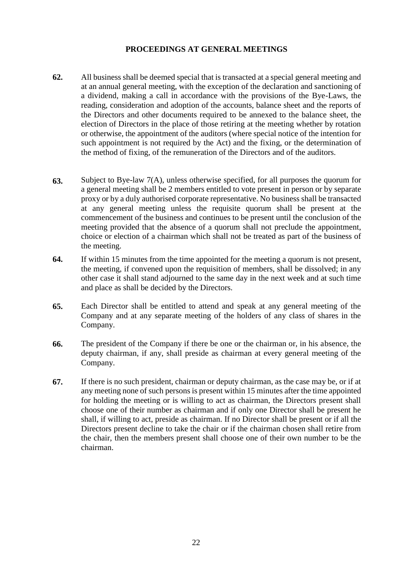# **PROCEEDINGS AT GENERAL MEETINGS**

- **62.** All business shall be deemed special that is transacted at a special general meeting and at an annual general meeting, with the exception of the declaration and sanctioning of a dividend, making a call in accordance with the provisions of the Bye-Laws, the reading, consideration and adoption of the accounts, balance sheet and the reports of the Directors and other documents required to be annexed to the balance sheet, the election of Directors in the place of those retiring at the meeting whether by rotation or otherwise, the appointment of the auditors (where special notice of the intention for such appointment is not required by the Act) and the fixing, or the determination of the method of fixing, of the remuneration of the Directors and of the auditors.
- **63.** Subject to Bye-law 7(A), unless otherwise specified, for all purposes the quorum for a general meeting shall be 2 members entitled to vote present in person or by separate proxy or by a duly authorised corporate representative. No business shall be transacted at any general meeting unless the requisite quorum shall be present at the commencement of the business and continues to be present until the conclusion of the meeting provided that the absence of a quorum shall not preclude the appointment, choice or election of a chairman which shall not be treated as part of the business of the meeting.
- **64.** If within 15 minutes from the time appointed for the meeting a quorum is not present, the meeting, if convened upon the requisition of members, shall be dissolved; in any other case it shall stand adjourned to the same day in the next week and at such time and place as shall be decided by the Directors.
- **65.** Each Director shall be entitled to attend and speak at any general meeting of the Company and at any separate meeting of the holders of any class of shares in the Company.
- **66.** The president of the Company if there be one or the chairman or, in his absence, the deputy chairman, if any, shall preside as chairman at every general meeting of the Company.
- **67.** If there is no such president, chairman or deputy chairman, as the case may be, or if at any meeting none of such persons is present within 15 minutes after the time appointed for holding the meeting or is willing to act as chairman, the Directors present shall choose one of their number as chairman and if only one Director shall be present he shall, if willing to act, preside as chairman. If no Director shall be present or if all the Directors present decline to take the chair or if the chairman chosen shall retire from the chair, then the members present shall choose one of their own number to be the chairman.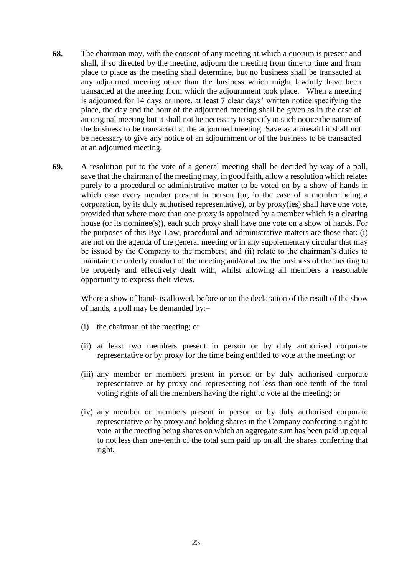- **68.** The chairman may, with the consent of any meeting at which a quorum is present and shall, if so directed by the meeting, adjourn the meeting from time to time and from place to place as the meeting shall determine, but no business shall be transacted at any adjourned meeting other than the business which might lawfully have been transacted at the meeting from which the adjournment took place. When a meeting is adjourned for 14 days or more, at least 7 clear days' written notice specifying the place, the day and the hour of the adjourned meeting shall be given as in the case of an original meeting but it shall not be necessary to specify in such notice the nature of the business to be transacted at the adjourned meeting. Save as aforesaid it shall not be necessary to give any notice of an adjournment or of the business to be transacted at an adjourned meeting.
- **69.** A resolution put to the vote of a general meeting shall be decided by way of a poll, save that the chairman of the meeting may, in good faith, allow a resolution which relates purely to a procedural or administrative matter to be voted on by a show of hands in which case every member present in person (or, in the case of a member being a corporation, by its duly authorised representative), or by proxy(ies) shall have one vote, provided that where more than one proxy is appointed by a member which is a clearing house (or its nominee(s)), each such proxy shall have one vote on a show of hands. For the purposes of this Bye-Law, procedural and administrative matters are those that: (i) are not on the agenda of the general meeting or in any supplementary circular that may be issued by the Company to the members; and (ii) relate to the chairman's duties to maintain the orderly conduct of the meeting and/or allow the business of the meeting to be properly and effectively dealt with, whilst allowing all members a reasonable opportunity to express their views.

Where a show of hands is allowed, before or on the declaration of the result of the show of hands, a poll may be demanded by:–

- (i) the chairman of the meeting; or
- (ii) at least two members present in person or by duly authorised corporate representative or by proxy for the time being entitled to vote at the meeting; or
- (iii) any member or members present in person or by duly authorised corporate representative or by proxy and representing not less than one-tenth of the total voting rights of all the members having the right to vote at the meeting; or
- (iv) any member or members present in person or by duly authorised corporate representative or by proxy and holding shares in the Company conferring a right to vote at the meeting being shares on which an aggregate sum has been paid up equal to not less than one-tenth of the total sum paid up on all the shares conferring that right.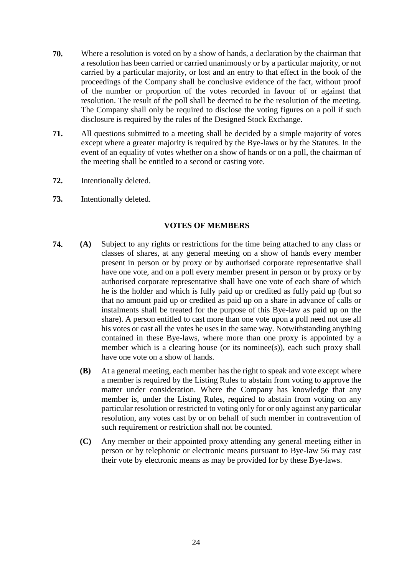- **70.** Where a resolution is voted on by a show of hands, a declaration by the chairman that a resolution has been carried or carried unanimously or by a particular majority, or not carried by a particular majority, or lost and an entry to that effect in the book of the proceedings of the Company shall be conclusive evidence of the fact, without proof of the number or proportion of the votes recorded in favour of or against that resolution. The result of the poll shall be deemed to be the resolution of the meeting. The Company shall only be required to disclose the voting figures on a poll if such disclosure is required by the rules of the Designed Stock Exchange.
- **71.** All questions submitted to a meeting shall be decided by a simple majority of votes except where a greater majority is required by the Bye-laws or by the Statutes. In the event of an equality of votes whether on a show of hands or on a poll, the chairman of the meeting shall be entitled to a second or casting vote.
- **72.** Intentionally deleted.
- **73.** Intentionally deleted.

# **VOTES OF MEMBERS**

- **74. (A)** Subject to any rights or restrictions for the time being attached to any class or classes of shares, at any general meeting on a show of hands every member present in person or by proxy or by authorised corporate representative shall have one vote, and on a poll every member present in person or by proxy or by authorised corporate representative shall have one vote of each share of which he is the holder and which is fully paid up or credited as fully paid up (but so that no amount paid up or credited as paid up on a share in advance of calls or instalments shall be treated for the purpose of this Bye-law as paid up on the share). A person entitled to cast more than one vote upon a poll need not use all his votes or cast all the votes he uses in the same way. Notwithstanding anything contained in these Bye-laws, where more than one proxy is appointed by a member which is a clearing house (or its nominee(s)), each such proxy shall have one vote on a show of hands.
	- **(B)** At a general meeting, each member has the right to speak and vote except where a member is required by the Listing Rules to abstain from voting to approve the matter under consideration. Where the Company has knowledge that any member is, under the Listing Rules, required to abstain from voting on any particular resolution or restricted to voting only for or only against any particular resolution, any votes cast by or on behalf of such member in contravention of such requirement or restriction shall not be counted.
	- **(C)** Any member or their appointed proxy attending any general meeting either in person or by telephonic or electronic means pursuant to Bye-law 56 may cast their vote by electronic means as may be provided for by these Bye-laws.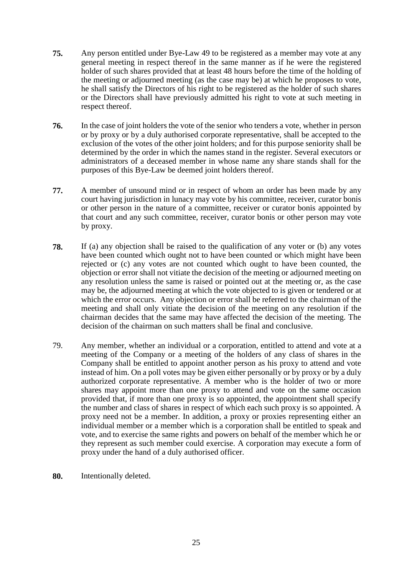- **75.** Any person entitled under Bye-Law 49 to be registered as a member may vote at any general meeting in respect thereof in the same manner as if he were the registered holder of such shares provided that at least 48 hours before the time of the holding of the meeting or adjourned meeting (as the case may be) at which he proposes to vote, he shall satisfy the Directors of his right to be registered as the holder of such shares or the Directors shall have previously admitted his right to vote at such meeting in respect thereof.
- **76.** In the case of joint holders the vote of the senior who tenders a vote, whether in person or by proxy or by a duly authorised corporate representative, shall be accepted to the exclusion of the votes of the other joint holders; and for this purpose seniority shall be determined by the order in which the names stand in the register. Several executors or administrators of a deceased member in whose name any share stands shall for the purposes of this Bye-Law be deemed joint holders thereof.
- **77.** A member of unsound mind or in respect of whom an order has been made by any court having jurisdiction in lunacy may vote by his committee, receiver, curator bonis or other person in the nature of a committee, receiver or curator bonis appointed by that court and any such committee, receiver, curator bonis or other person may vote by proxy.
- **78.** If (a) any objection shall be raised to the qualification of any voter or (b) any votes have been counted which ought not to have been counted or which might have been rejected or (c) any votes are not counted which ought to have been counted, the objection or error shall not vitiate the decision of the meeting or adjourned meeting on any resolution unless the same is raised or pointed out at the meeting or, as the case may be, the adjourned meeting at which the vote objected to is given or tendered or at which the error occurs. Any objection or error shall be referred to the chairman of the meeting and shall only vitiate the decision of the meeting on any resolution if the chairman decides that the same may have affected the decision of the meeting. The decision of the chairman on such matters shall be final and conclusive.
- 79. Any member, whether an individual or a corporation, entitled to attend and vote at a meeting of the Company or a meeting of the holders of any class of shares in the Company shall be entitled to appoint another person as his proxy to attend and vote instead of him. On a poll votes may be given either personally or by proxy or by a duly authorized corporate representative. A member who is the holder of two or more shares may appoint more than one proxy to attend and vote on the same occasion provided that, if more than one proxy is so appointed, the appointment shall specify the number and class of shares in respect of which each such proxy is so appointed. A proxy need not be a member. In addition, a proxy or proxies representing either an individual member or a member which is a corporation shall be entitled to speak and vote, and to exercise the same rights and powers on behalf of the member which he or they represent as such member could exercise. A corporation may execute a form of proxy under the hand of a duly authorised officer.
- **80.** Intentionally deleted.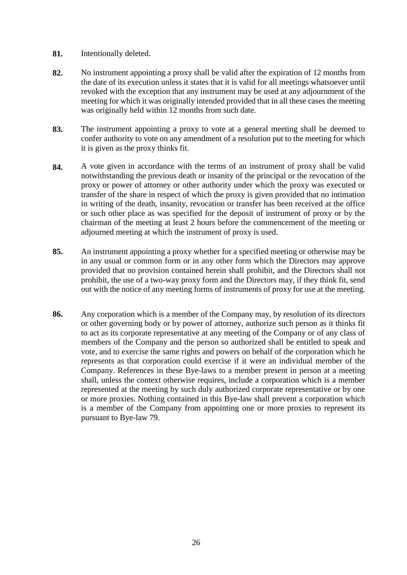- **81.** Intentionally deleted.
- **82.** No instrument appointing a proxy shall be valid after the expiration of 12 months from the date of its execution unless it states that it is valid for all meetings whatsoever until revoked with the exception that any instrument may be used at any adjournment of the meeting for which it was originally intended provided that in all these cases the meeting was originally held within 12 months from such date.
- **83.** The instrument appointing a proxy to vote at a general meeting shall be deemed to confer authority to vote on any amendment of a resolution put to the meeting for which it is given as the proxy thinks fit.
- **84.** A vote given in accordance with the terms of an instrument of proxy shall be valid notwithstanding the previous death or insanity of the principal or the revocation of the proxy or power of attorney or other authority under which the proxy was executed or transfer of the share in respect of which the proxy is given provided that no intimation in writing of the death, insanity, revocation or transfer has been received at the office or such other place as was specified for the deposit of instrument of proxy or by the chairman of the meeting at least 2 hours before the commencement of the meeting or adjourned meeting at which the instrument of proxy is used.
- **85.** An instrument appointing a proxy whether for a specified meeting or otherwise may be in any usual or common form or in any other form which the Directors may approve provided that no provision contained herein shall prohibit, and the Directors shall not prohibit, the use of a two-way proxy form and the Directors may, if they think fit, send out with the notice of any meeting forms of instruments of proxy for use at the meeting.
- **86.** Any corporation which is a member of the Company may, by resolution of its directors or other governing body or by power of attorney, authorize such person as it thinks fit to act as its corporate representative at any meeting of the Company or of any class of members of the Company and the person so authorized shall be entitled to speak and vote, and to exercise the same rights and powers on behalf of the corporation which he represents as that corporation could exercise if it were an individual member of the Company. References in these Bye-laws to a member present in person at a meeting shall, unless the context otherwise requires, include a corporation which is a member represented at the meeting by such duly authorized corporate representative or by one or more proxies. Nothing contained in this Bye-law shall prevent a corporation which is a member of the Company from appointing one or more proxies to represent its pursuant to Bye-law 79.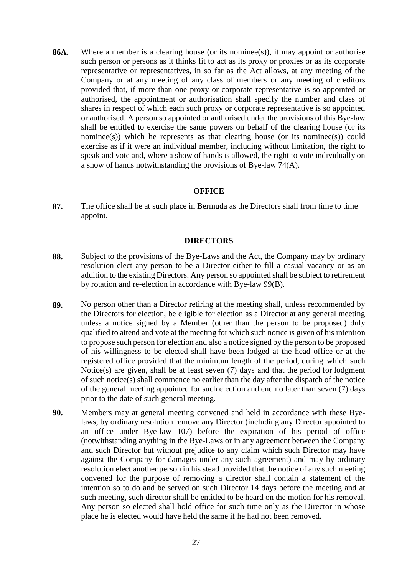**86A.** Where a member is a clearing house (or its nominee(s)), it may appoint or authorise such person or persons as it thinks fit to act as its proxy or proxies or as its corporate representative or representatives, in so far as the Act allows, at any meeting of the Company or at any meeting of any class of members or any meeting of creditors provided that, if more than one proxy or corporate representative is so appointed or authorised, the appointment or authorisation shall specify the number and class of shares in respect of which each such proxy or corporate representative is so appointed or authorised. A person so appointed or authorised under the provisions of this Bye-law shall be entitled to exercise the same powers on behalf of the clearing house (or its nominee(s)) which he represents as that clearing house (or its nominee(s)) could exercise as if it were an individual member, including without limitation, the right to speak and vote and, where a show of hands is allowed, the right to vote individually on a show of hands notwithstanding the provisions of Bye-law 74(A).

#### **OFFICE**

**87.** The office shall be at such place in Bermuda as the Directors shall from time to time appoint.

#### **DIRECTORS**

- **88.** Subject to the provisions of the Bye-Laws and the Act, the Company may by ordinary resolution elect any person to be a Director either to fill a casual vacancy or as an addition to the existing Directors. Any person so appointed shall be subject to retirement by rotation and re-election in accordance with Bye-law 99(B).
- **89.** No person other than a Director retiring at the meeting shall, unless recommended by the Directors for election, be eligible for election as a Director at any general meeting unless a notice signed by a Member (other than the person to be proposed) duly qualified to attend and vote at the meeting for which such notice is given of his intention to propose such person for election and also a notice signed by the person to be proposed of his willingness to be elected shall have been lodged at the head office or at the registered office provided that the minimum length of the period, during which such Notice(s) are given, shall be at least seven (7) days and that the period for lodgment of such notice(s) shall commence no earlier than the day after the dispatch of the notice of the general meeting appointed for such election and end no later than seven (7) days prior to the date of such general meeting.
- **90.** Members may at general meeting convened and held in accordance with these Byelaws, by ordinary resolution remove any Director (including any Director appointed to an office under Bye-law 107) before the expiration of his period of office (notwithstanding anything in the Bye-Laws or in any agreement between the Company and such Director but without prejudice to any claim which such Director may have against the Company for damages under any such agreement) and may by ordinary resolution elect another person in his stead provided that the notice of any such meeting convened for the purpose of removing a director shall contain a statement of the intention so to do and be served on such Director 14 days before the meeting and at such meeting, such director shall be entitled to be heard on the motion for his removal. Any person so elected shall hold office for such time only as the Director in whose place he is elected would have held the same if he had not been removed.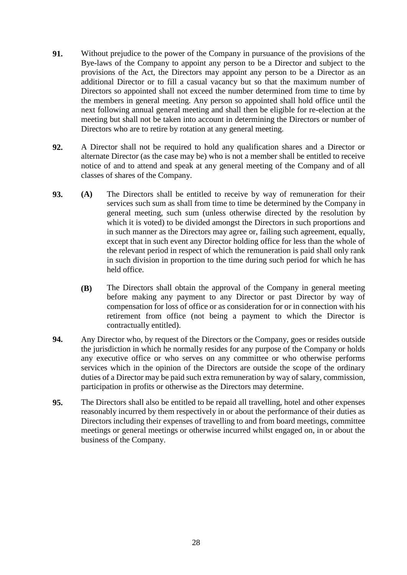- **91.** Without prejudice to the power of the Company in pursuance of the provisions of the Bye-laws of the Company to appoint any person to be a Director and subject to the provisions of the Act, the Directors may appoint any person to be a Director as an additional Director or to fill a casual vacancy but so that the maximum number of Directors so appointed shall not exceed the number determined from time to time by the members in general meeting. Any person so appointed shall hold office until the next following annual general meeting and shall then be eligible for re-election at the meeting but shall not be taken into account in determining the Directors or number of Directors who are to retire by rotation at any general meeting.
- **92.** A Director shall not be required to hold any qualification shares and a Director or alternate Director (as the case may be) who is not a member shall be entitled to receive notice of and to attend and speak at any general meeting of the Company and of all classes of shares of the Company.
- **93. (A)** The Directors shall be entitled to receive by way of remuneration for their services such sum as shall from time to time be determined by the Company in general meeting, such sum (unless otherwise directed by the resolution by which it is voted) to be divided amongst the Directors in such proportions and in such manner as the Directors may agree or, failing such agreement, equally, except that in such event any Director holding office for less than the whole of the relevant period in respect of which the remuneration is paid shall only rank in such division in proportion to the time during such period for which he has held office.
	- **(B)** The Directors shall obtain the approval of the Company in general meeting before making any payment to any Director or past Director by way of compensation for loss of office or as consideration for or in connection with his retirement from office (not being a payment to which the Director is contractually entitled).
- **94.** Any Director who, by request of the Directors or the Company, goes or resides outside the jurisdiction in which he normally resides for any purpose of the Company or holds any executive office or who serves on any committee or who otherwise performs services which in the opinion of the Directors are outside the scope of the ordinary duties of a Director may be paid such extra remuneration by way of salary, commission, participation in profits or otherwise as the Directors may determine.
- **95.** The Directors shall also be entitled to be repaid all travelling, hotel and other expenses reasonably incurred by them respectively in or about the performance of their duties as Directors including their expenses of travelling to and from board meetings, committee meetings or general meetings or otherwise incurred whilst engaged on, in or about the business of the Company.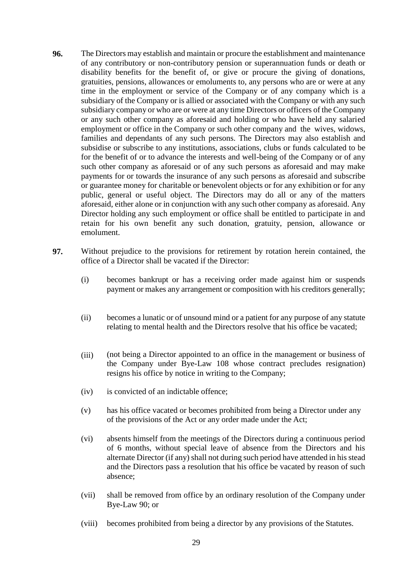- **96.** The Directors may establish and maintain or procure the establishment and maintenance of any contributory or non-contributory pension or superannuation funds or death or disability benefits for the benefit of, or give or procure the giving of donations, gratuities, pensions, allowances or emoluments to, any persons who are or were at any time in the employment or service of the Company or of any company which is a subsidiary of the Company or is allied or associated with the Company or with any such subsidiary company or who are or were at any time Directors or officers of the Company or any such other company as aforesaid and holding or who have held any salaried employment or office in the Company or such other company and the wives, widows, families and dependants of any such persons. The Directors may also establish and subsidise or subscribe to any institutions, associations, clubs or funds calculated to be for the benefit of or to advance the interests and well-being of the Company or of any such other company as aforesaid or of any such persons as aforesaid and may make payments for or towards the insurance of any such persons as aforesaid and subscribe or guarantee money for charitable or benevolent objects or for any exhibition or for any public, general or useful object. The Directors may do all or any of the matters aforesaid, either alone or in conjunction with any such other company as aforesaid. Any Director holding any such employment or office shall be entitled to participate in and retain for his own benefit any such donation, gratuity, pension, allowance or emolument.
- **97.** Without prejudice to the provisions for retirement by rotation herein contained, the office of a Director shall be vacated if the Director:
	- (i) becomes bankrupt or has a receiving order made against him or suspends payment or makes any arrangement or composition with his creditors generally;
	- (ii) becomes a lunatic or of unsound mind or a patient for any purpose of any statute relating to mental health and the Directors resolve that his office be vacated;
	- (iii) (not being a Director appointed to an office in the management or business of the Company under Bye-Law 108 whose contract precludes resignation) resigns his office by notice in writing to the Company;
	- (iv) is convicted of an indictable offence;
	- (v) has his office vacated or becomes prohibited from being a Director under any of the provisions of the Act or any order made under the Act;
	- (vi) absents himself from the meetings of the Directors during a continuous period of 6 months, without special leave of absence from the Directors and his alternate Director (if any) shall not during such period have attended in his stead and the Directors pass a resolution that his office be vacated by reason of such absence;
	- (vii) shall be removed from office by an ordinary resolution of the Company under Bye-Law 90; or
	- (viii) becomes prohibited from being a director by any provisions of the Statutes.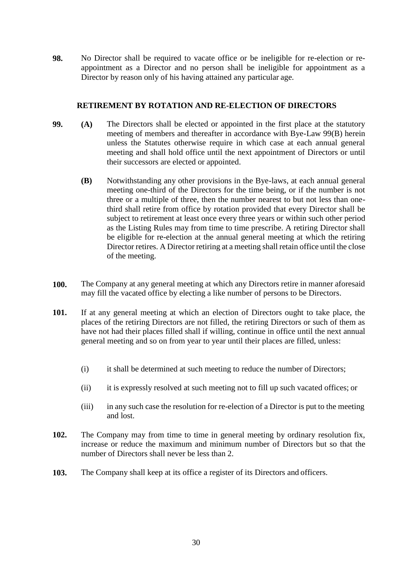**98.** No Director shall be required to vacate office or be ineligible for re-election or reappointment as a Director and no person shall be ineligible for appointment as a Director by reason only of his having attained any particular age.

# **RETIREMENT BY ROTATION AND RE-ELECTION OF DIRECTORS**

- **99. (A)** The Directors shall be elected or appointed in the first place at the statutory meeting of members and thereafter in accordance with Bye-Law 99(B) herein unless the Statutes otherwise require in which case at each annual general meeting and shall hold office until the next appointment of Directors or until their successors are elected or appointed.
	- **(B)** Notwithstanding any other provisions in the Bye-laws, at each annual general meeting one-third of the Directors for the time being, or if the number is not three or a multiple of three, then the number nearest to but not less than onethird shall retire from office by rotation provided that every Director shall be subject to retirement at least once every three years or within such other period as the Listing Rules may from time to time prescribe. A retiring Director shall be eligible for re-election at the annual general meeting at which the retiring Director retires. A Director retiring at a meeting shall retain office until the close of the meeting.
- **100.** The Company at any general meeting at which any Directors retire in manner aforesaid may fill the vacated office by electing a like number of persons to be Directors.
- **101.** If at any general meeting at which an election of Directors ought to take place, the places of the retiring Directors are not filled, the retiring Directors or such of them as have not had their places filled shall if willing, continue in office until the next annual general meeting and so on from year to year until their places are filled, unless:
	- (i) it shall be determined at such meeting to reduce the number of Directors;
	- (ii) it is expressly resolved at such meeting not to fill up such vacated offices; or
	- (iii) in any such case the resolution for re-election of a Director is put to the meeting and lost.
- **102.** The Company may from time to time in general meeting by ordinary resolution fix, increase or reduce the maximum and minimum number of Directors but so that the number of Directors shall never be less than 2.
- **103.** The Company shall keep at its office a register of its Directors and officers.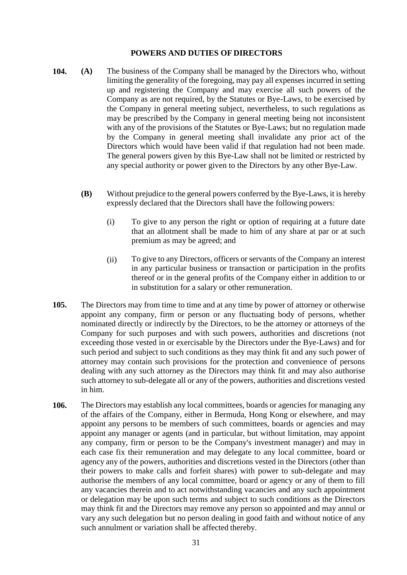# **POWERS AND DUTIES OF DIRECTORS**

- **104. (A)** The business of the Company shall be managed by the Directors who, without limiting the generality of the foregoing, may pay all expenses incurred in setting up and registering the Company and may exercise all such powers of the Company as are not required, by the Statutes or Bye-Laws, to be exercised by the Company in general meeting subject, nevertheless, to such regulations as may be prescribed by the Company in general meeting being not inconsistent with any of the provisions of the Statutes or Bye-Laws; but no regulation made by the Company in general meeting shall invalidate any prior act of the Directors which would have been valid if that regulation had not been made. The general powers given by this Bye-Law shall not be limited or restricted by any special authority or power given to the Directors by any other Bye-Law.
	- **(B)** Without prejudice to the general powers conferred by the Bye-Laws, it is hereby expressly declared that the Directors shall have the following powers:
		- (i) To give to any person the right or option of requiring at a future date that an allotment shall be made to him of any share at par or at such premium as may be agreed; and
		- (ii) To give to any Directors, officers or servants of the Company an interest in any particular business or transaction or participation in the profits thereof or in the general profits of the Company either in addition to or in substitution for a salary or other remuneration.
- **105.** The Directors may from time to time and at any time by power of attorney or otherwise appoint any company, firm or person or any fluctuating body of persons, whether nominated directly or indirectly by the Directors, to be the attorney or attorneys of the Company for such purposes and with such powers, authorities and discretions (not exceeding those vested in or exercisable by the Directors under the Bye-Laws) and for such period and subject to such conditions as they may think fit and any such power of attorney may contain such provisions for the protection and convenience of persons dealing with any such attorney as the Directors may think fit and may also authorise such attorney to sub-delegate all or any of the powers, authorities and discretions vested in him.
- **106.** The Directors may establish any local committees, boards or agencies for managing any of the affairs of the Company, either in Bermuda, Hong Kong or elsewhere, and may appoint any persons to be members of such committees, boards or agencies and may appoint any manager or agents (and in particular, but without limitation, may appoint any company, firm or person to be the Company's investment manager) and may in each case fix their remuneration and may delegate to any local committee, board or agency any of the powers, authorities and discretions vested in the Directors (other than their powers to make calls and forfeit shares) with power to sub-delegate and may authorise the members of any local committee, board or agency or any of them to fill any vacancies therein and to act notwithstanding vacancies and any such appointment or delegation may be upon such terms and subject to such conditions as the Directors may think fit and the Directors may remove any person so appointed and may annul or vary any such delegation but no person dealing in good faith and without notice of any such annulment or variation shall be affected thereby.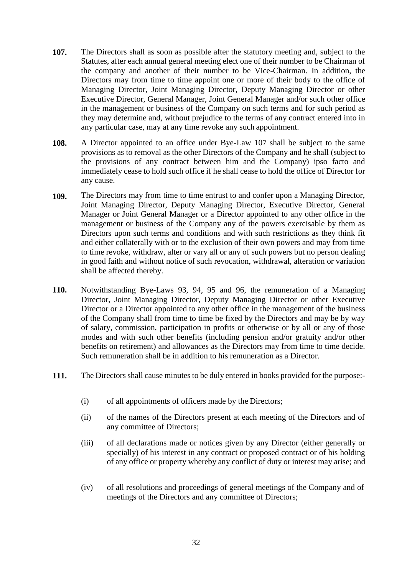- **107.** The Directors shall as soon as possible after the statutory meeting and, subject to the Statutes, after each annual general meeting elect one of their number to be Chairman of the company and another of their number to be Vice-Chairman. In addition, the Directors may from time to time appoint one or more of their body to the office of Managing Director, Joint Managing Director, Deputy Managing Director or other Executive Director, General Manager, Joint General Manager and/or such other office in the management or business of the Company on such terms and for such period as they may determine and, without prejudice to the terms of any contract entered into in any particular case, may at any time revoke any such appointment.
- **108.** A Director appointed to an office under Bye-Law 107 shall be subject to the same provisions as to removal as the other Directors of the Company and he shall (subject to the provisions of any contract between him and the Company) ipso facto and immediately cease to hold such office if he shall cease to hold the office of Director for any cause.
- **109.** The Directors may from time to time entrust to and confer upon a Managing Director, Joint Managing Director, Deputy Managing Director, Executive Director, General Manager or Joint General Manager or a Director appointed to any other office in the management or business of the Company any of the powers exercisable by them as Directors upon such terms and conditions and with such restrictions as they think fit and either collaterally with or to the exclusion of their own powers and may from time to time revoke, withdraw, alter or vary all or any of such powers but no person dealing in good faith and without notice of such revocation, withdrawal, alteration or variation shall be affected thereby.
- **110.** Notwithstanding Bye-Laws 93, 94, 95 and 96, the remuneration of a Managing Director, Joint Managing Director, Deputy Managing Director or other Executive Director or a Director appointed to any other office in the management of the business of the Company shall from time to time be fixed by the Directors and may be by way of salary, commission, participation in profits or otherwise or by all or any of those modes and with such other benefits (including pension and/or gratuity and/or other benefits on retirement) and allowances as the Directors may from time to time decide. Such remuneration shall be in addition to his remuneration as a Director.
- **111.** The Directors shall cause minutes to be duly entered in books provided for the purpose:-
	- (i) of all appointments of officers made by the Directors;
	- (ii) of the names of the Directors present at each meeting of the Directors and of any committee of Directors;
	- (iii) of all declarations made or notices given by any Director (either generally or specially) of his interest in any contract or proposed contract or of his holding of any office or property whereby any conflict of duty or interest may arise; and
	- (iv) of all resolutions and proceedings of general meetings of the Company and of meetings of the Directors and any committee of Directors;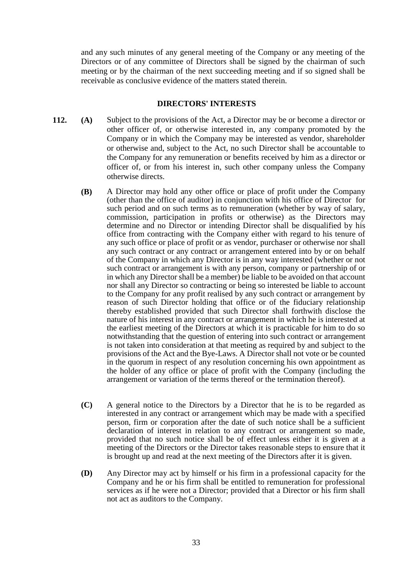and any such minutes of any general meeting of the Company or any meeting of the Directors or of any committee of Directors shall be signed by the chairman of such meeting or by the chairman of the next succeeding meeting and if so signed shall be receivable as conclusive evidence of the matters stated therein.

#### **DIRECTORS' INTERESTS**

- **112. (A)** Subject to the provisions of the Act, a Director may be or become a director or other officer of, or otherwise interested in, any company promoted by the Company or in which the Company may be interested as vendor, shareholder or otherwise and, subject to the Act, no such Director shall be accountable to the Company for any remuneration or benefits received by him as a director or officer of, or from his interest in, such other company unless the Company otherwise directs.
	- **(B)** A Director may hold any other office or place of profit under the Company (other than the office of auditor) in conjunction with his office of Director for such period and on such terms as to remuneration (whether by way of salary, commission, participation in profits or otherwise) as the Directors may determine and no Director or intending Director shall be disqualified by his office from contracting with the Company either with regard to his tenure of any such office or place of profit or as vendor, purchaser or otherwise nor shall any such contract or any contract or arrangement entered into by or on behalf of the Company in which any Director is in any way interested (whether or not such contract or arrangement is with any person, company or partnership of or in which any Director shall be a member) be liable to be avoided on that account nor shall any Director so contracting or being so interested be liable to account to the Company for any profit realised by any such contract or arrangement by reason of such Director holding that office or of the fiduciary relationship thereby established provided that such Director shall forthwith disclose the nature of his interest in any contract or arrangement in which he is interested at the earliest meeting of the Directors at which it is practicable for him to do so notwithstanding that the question of entering into such contract or arrangement is not taken into consideration at that meeting as required by and subject to the provisions of the Act and the Bye-Laws. A Director shall not vote or be counted in the quorum in respect of any resolution concerning his own appointment as the holder of any office or place of profit with the Company (including the arrangement or variation of the terms thereof or the termination thereof).
	- **(C)** A general notice to the Directors by a Director that he is to be regarded as interested in any contract or arrangement which may be made with a specified person, firm or corporation after the date of such notice shall be a sufficient declaration of interest in relation to any contract or arrangement so made, provided that no such notice shall be of effect unless either it is given at a meeting of the Directors or the Director takes reasonable steps to ensure that it is brought up and read at the next meeting of the Directors after it is given.
	- **(D)** Any Director may act by himself or his firm in a professional capacity for the Company and he or his firm shall be entitled to remuneration for professional services as if he were not a Director; provided that a Director or his firm shall not act as auditors to the Company.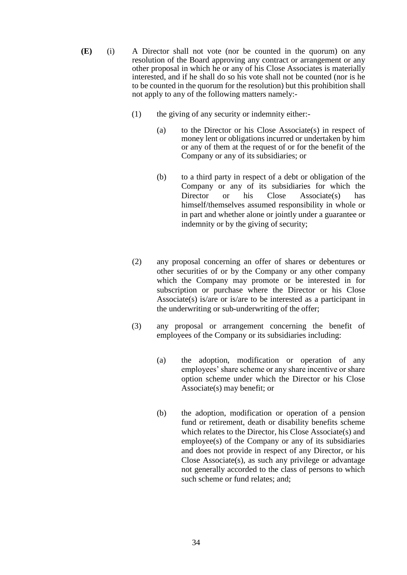- **(E)** (i) A Director shall not vote (nor be counted in the quorum) on any resolution of the Board approving any contract or arrangement or any other proposal in which he or any of his Close Associates is materially interested, and if he shall do so his vote shall not be counted (nor is he to be counted in the quorum for the resolution) but this prohibition shall not apply to any of the following matters namely:-
	- (1) the giving of any security or indemnity either:-
		- (a) to the Director or his Close Associate(s) in respect of money lent or obligations incurred or undertaken by him or any of them at the request of or for the benefit of the Company or any of its subsidiaries; or
		- (b) to a third party in respect of a debt or obligation of the Company or any of its subsidiaries for which the Director or his Close Associate(s) has himself/themselves assumed responsibility in whole or in part and whether alone or jointly under a guarantee or indemnity or by the giving of security;
	- (2) any proposal concerning an offer of shares or debentures or other securities of or by the Company or any other company which the Company may promote or be interested in for subscription or purchase where the Director or his Close Associate(s) is/are or is/are to be interested as a participant in the underwriting or sub-underwriting of the offer;
	- (3) any proposal or arrangement concerning the benefit of employees of the Company or its subsidiaries including:
		- (a) the adoption, modification or operation of any employees' share scheme or any share incentive or share option scheme under which the Director or his Close Associate(s) may benefit; or
		- (b) the adoption, modification or operation of a pension fund or retirement, death or disability benefits scheme which relates to the Director, his Close Associate(s) and employee(s) of the Company or any of its subsidiaries and does not provide in respect of any Director, or his Close Associate(s), as such any privilege or advantage not generally accorded to the class of persons to which such scheme or fund relates; and;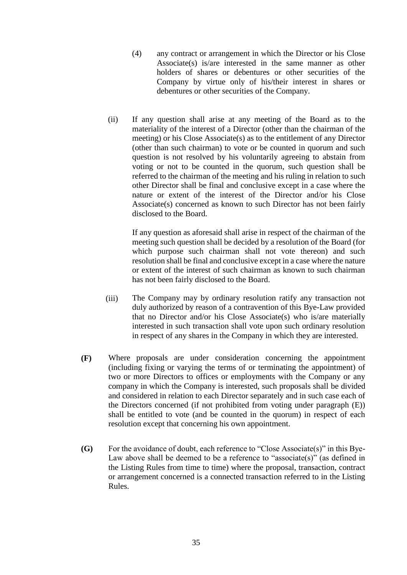- (4) any contract or arrangement in which the Director or his Close Associate(s) is/are interested in the same manner as other holders of shares or debentures or other securities of the Company by virtue only of his/their interest in shares or debentures or other securities of the Company.
- (ii) If any question shall arise at any meeting of the Board as to the materiality of the interest of a Director (other than the chairman of the meeting) or his Close Associate(s) as to the entitlement of any Director (other than such chairman) to vote or be counted in quorum and such question is not resolved by his voluntarily agreeing to abstain from voting or not to be counted in the quorum, such question shall be referred to the chairman of the meeting and his ruling in relation to such other Director shall be final and conclusive except in a case where the nature or extent of the interest of the Director and/or his Close Associate(s) concerned as known to such Director has not been fairly disclosed to the Board.

If any question as aforesaid shall arise in respect of the chairman of the meeting such question shall be decided by a resolution of the Board (for which purpose such chairman shall not vote thereon) and such resolution shall be final and conclusive except in a case where the nature or extent of the interest of such chairman as known to such chairman has not been fairly disclosed to the Board.

- (iii) The Company may by ordinary resolution ratify any transaction not duly authorized by reason of a contravention of this Bye-Law provided that no Director and/or his Close Associate(s) who is/are materially interested in such transaction shall vote upon such ordinary resolution in respect of any shares in the Company in which they are interested.
- **(F)** Where proposals are under consideration concerning the appointment (including fixing or varying the terms of or terminating the appointment) of two or more Directors to offices or employments with the Company or any company in which the Company is interested, such proposals shall be divided and considered in relation to each Director separately and in such case each of the Directors concerned (if not prohibited from voting under paragraph (E)) shall be entitled to vote (and be counted in the quorum) in respect of each resolution except that concerning his own appointment.
- **(G)** For the avoidance of doubt, each reference to "Close Associate(s)" in this Bye-Law above shall be deemed to be a reference to "associate(s)" (as defined in the Listing Rules from time to time) where the proposal, transaction, contract or arrangement concerned is a connected transaction referred to in the Listing Rules.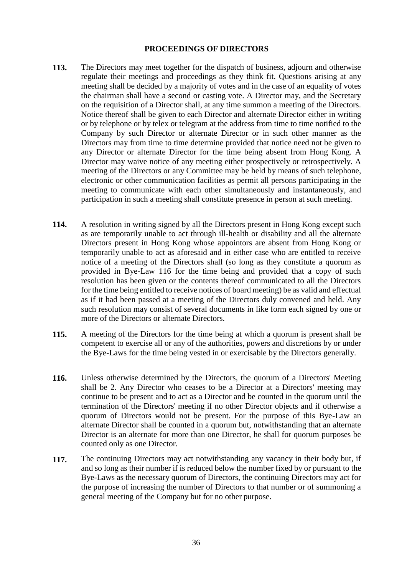#### **PROCEEDINGS OF DIRECTORS**

- **113.** The Directors may meet together for the dispatch of business, adjourn and otherwise regulate their meetings and proceedings as they think fit. Questions arising at any meeting shall be decided by a majority of votes and in the case of an equality of votes the chairman shall have a second or casting vote. A Director may, and the Secretary on the requisition of a Director shall, at any time summon a meeting of the Directors. Notice thereof shall be given to each Director and alternate Director either in writing or by telephone or by telex or telegram at the address from time to time notified to the Company by such Director or alternate Director or in such other manner as the Directors may from time to time determine provided that notice need not be given to any Director or alternate Director for the time being absent from Hong Kong. A Director may waive notice of any meeting either prospectively or retrospectively. A meeting of the Directors or any Committee may be held by means of such telephone, electronic or other communication facilities as permit all persons participating in the meeting to communicate with each other simultaneously and instantaneously, and participation in such a meeting shall constitute presence in person at such meeting.
- **114.** A resolution in writing signed by all the Directors present in Hong Kong except such as are temporarily unable to act through ill-health or disability and all the alternate Directors present in Hong Kong whose appointors are absent from Hong Kong or temporarily unable to act as aforesaid and in either case who are entitled to receive notice of a meeting of the Directors shall (so long as they constitute a quorum as provided in Bye-Law 116 for the time being and provided that a copy of such resolution has been given or the contents thereof communicated to all the Directors for the time being entitled to receive notices of board meeting) be as valid and effectual as if it had been passed at a meeting of the Directors duly convened and held. Any such resolution may consist of several documents in like form each signed by one or more of the Directors or alternate Directors.
- **115.** A meeting of the Directors for the time being at which a quorum is present shall be competent to exercise all or any of the authorities, powers and discretions by or under the Bye-Laws for the time being vested in or exercisable by the Directors generally.
- **116.** Unless otherwise determined by the Directors, the quorum of a Directors' Meeting shall be 2. Any Director who ceases to be a Director at a Directors' meeting may continue to be present and to act as a Director and be counted in the quorum until the termination of the Directors' meeting if no other Director objects and if otherwise a quorum of Directors would not be present. For the purpose of this Bye-Law an alternate Director shall be counted in a quorum but, notwithstanding that an alternate Director is an alternate for more than one Director, he shall for quorum purposes be counted only as one Director.
- **117.** The continuing Directors may act notwithstanding any vacancy in their body but, if and so long as their number if is reduced below the number fixed by or pursuant to the Bye-Laws as the necessary quorum of Directors, the continuing Directors may act for the purpose of increasing the number of Directors to that number or of summoning a general meeting of the Company but for no other purpose.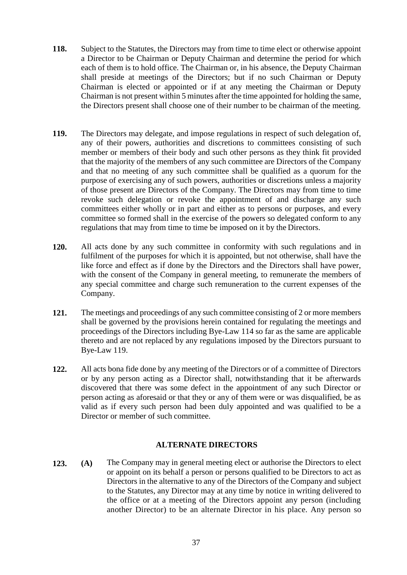- **118.** Subject to the Statutes, the Directors may from time to time elect or otherwise appoint a Director to be Chairman or Deputy Chairman and determine the period for which each of them is to hold office. The Chairman or, in his absence, the Deputy Chairman shall preside at meetings of the Directors; but if no such Chairman or Deputy Chairman is elected or appointed or if at any meeting the Chairman or Deputy Chairman is not present within 5 minutes after the time appointed for holding the same, the Directors present shall choose one of their number to be chairman of the meeting.
- **119.** The Directors may delegate, and impose regulations in respect of such delegation of, any of their powers, authorities and discretions to committees consisting of such member or members of their body and such other persons as they think fit provided that the majority of the members of any such committee are Directors of the Company and that no meeting of any such committee shall be qualified as a quorum for the purpose of exercising any of such powers, authorities or discretions unless a majority of those present are Directors of the Company. The Directors may from time to time revoke such delegation or revoke the appointment of and discharge any such committees either wholly or in part and either as to persons or purposes, and every committee so formed shall in the exercise of the powers so delegated conform to any regulations that may from time to time be imposed on it by the Directors.
- **120.** All acts done by any such committee in conformity with such regulations and in fulfilment of the purposes for which it is appointed, but not otherwise, shall have the like force and effect as if done by the Directors and the Directors shall have power, with the consent of the Company in general meeting, to remunerate the members of any special committee and charge such remuneration to the current expenses of the Company.
- **121.** The meetings and proceedings of any such committee consisting of 2 or more members shall be governed by the provisions herein contained for regulating the meetings and proceedings of the Directors including Bye-Law 114 so far as the same are applicable thereto and are not replaced by any regulations imposed by the Directors pursuant to Bye-Law 119.
- **122.** All acts bona fide done by any meeting of the Directors or of a committee of Directors or by any person acting as a Director shall, notwithstanding that it be afterwards discovered that there was some defect in the appointment of any such Director or person acting as aforesaid or that they or any of them were or was disqualified, be as valid as if every such person had been duly appointed and was qualified to be a Director or member of such committee.

# **ALTERNATE DIRECTORS**

**123. (A)** The Company may in general meeting elect or authorise the Directors to elect or appoint on its behalf a person or persons qualified to be Directors to act as Directors in the alternative to any of the Directors of the Company and subject to the Statutes, any Director may at any time by notice in writing delivered to the office or at a meeting of the Directors appoint any person (including another Director) to be an alternate Director in his place. Any person so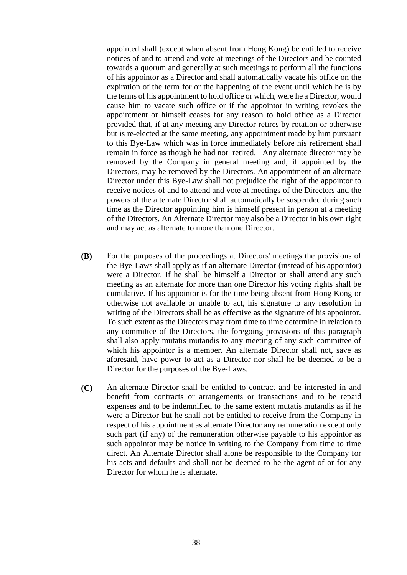appointed shall (except when absent from Hong Kong) be entitled to receive notices of and to attend and vote at meetings of the Directors and be counted towards a quorum and generally at such meetings to perform all the functions of his appointor as a Director and shall automatically vacate his office on the expiration of the term for or the happening of the event until which he is by the terms of his appointment to hold office or which, were he a Director, would cause him to vacate such office or if the appointor in writing revokes the appointment or himself ceases for any reason to hold office as a Director provided that, if at any meeting any Director retires by rotation or otherwise but is re-elected at the same meeting, any appointment made by him pursuant to this Bye-Law which was in force immediately before his retirement shall remain in force as though he had not retired. Any alternate director may be removed by the Company in general meeting and, if appointed by the Directors, may be removed by the Directors. An appointment of an alternate Director under this Bye-Law shall not prejudice the right of the appointor to receive notices of and to attend and vote at meetings of the Directors and the powers of the alternate Director shall automatically be suspended during such time as the Director appointing him is himself present in person at a meeting of the Directors. An Alternate Director may also be a Director in his own right and may act as alternate to more than one Director.

- **(B)** For the purposes of the proceedings at Directors' meetings the provisions of the Bye-Laws shall apply as if an alternate Director (instead of his appointor) were a Director. If he shall be himself a Director or shall attend any such meeting as an alternate for more than one Director his voting rights shall be cumulative. If his appointor is for the time being absent from Hong Kong or otherwise not available or unable to act, his signature to any resolution in writing of the Directors shall be as effective as the signature of his appointor. To such extent as the Directors may from time to time determine in relation to any committee of the Directors, the foregoing provisions of this paragraph shall also apply mutatis mutandis to any meeting of any such committee of which his appointor is a member. An alternate Director shall not, save as aforesaid, have power to act as a Director nor shall he be deemed to be a Director for the purposes of the Bye-Laws.
- **(C)** An alternate Director shall be entitled to contract and be interested in and benefit from contracts or arrangements or transactions and to be repaid expenses and to be indemnified to the same extent mutatis mutandis as if he were a Director but he shall not be entitled to receive from the Company in respect of his appointment as alternate Director any remuneration except only such part (if any) of the remuneration otherwise payable to his appointor as such appointor may be notice in writing to the Company from time to time direct. An Alternate Director shall alone be responsible to the Company for his acts and defaults and shall not be deemed to be the agent of or for any Director for whom he is alternate.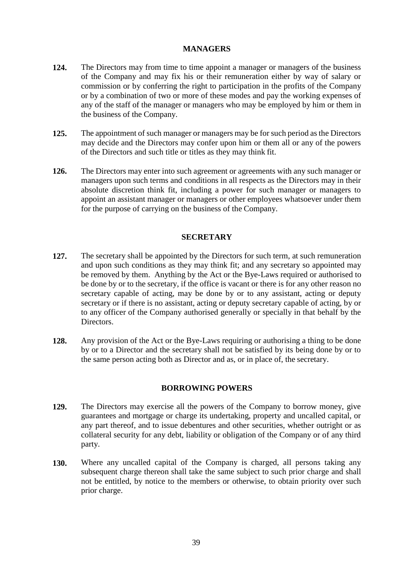# **MANAGERS**

- **124.** The Directors may from time to time appoint a manager or managers of the business of the Company and may fix his or their remuneration either by way of salary or commission or by conferring the right to participation in the profits of the Company or by a combination of two or more of these modes and pay the working expenses of any of the staff of the manager or managers who may be employed by him or them in the business of the Company.
- **125.** The appointment of such manager or managers may be for such period as the Directors may decide and the Directors may confer upon him or them all or any of the powers of the Directors and such title or titles as they may think fit.
- **126.** The Directors may enter into such agreement or agreements with any such manager or managers upon such terms and conditions in all respects as the Directors may in their absolute discretion think fit, including a power for such manager or managers to appoint an assistant manager or managers or other employees whatsoever under them for the purpose of carrying on the business of the Company.

# **SECRETARY**

- **127.** The secretary shall be appointed by the Directors for such term, at such remuneration and upon such conditions as they may think fit; and any secretary so appointed may be removed by them. Anything by the Act or the Bye-Laws required or authorised to be done by or to the secretary, if the office is vacant or there is for any other reason no secretary capable of acting, may be done by or to any assistant, acting or deputy secretary or if there is no assistant, acting or deputy secretary capable of acting, by or to any officer of the Company authorised generally or specially in that behalf by the Directors.
- **128.** Any provision of the Act or the Bye-Laws requiring or authorising a thing to be done by or to a Director and the secretary shall not be satisfied by its being done by or to the same person acting both as Director and as, or in place of, the secretary.

# **BORROWING POWERS**

- **129.** The Directors may exercise all the powers of the Company to borrow money, give guarantees and mortgage or charge its undertaking, property and uncalled capital, or any part thereof, and to issue debentures and other securities, whether outright or as collateral security for any debt, liability or obligation of the Company or of any third party.
- **130.** Where any uncalled capital of the Company is charged, all persons taking any subsequent charge thereon shall take the same subject to such prior charge and shall not be entitled, by notice to the members or otherwise, to obtain priority over such prior charge.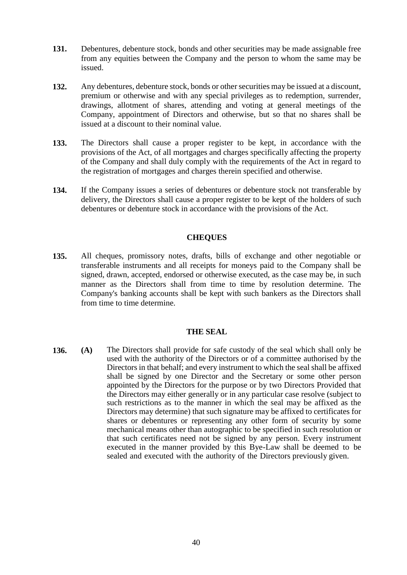- **131.** Debentures, debenture stock, bonds and other securities may be made assignable free from any equities between the Company and the person to whom the same may be issued.
- **132.** Any debentures, debenture stock, bonds or other securities may be issued at a discount, premium or otherwise and with any special privileges as to redemption, surrender, drawings, allotment of shares, attending and voting at general meetings of the Company, appointment of Directors and otherwise, but so that no shares shall be issued at a discount to their nominal value.
- **133.** The Directors shall cause a proper register to be kept, in accordance with the provisions of the Act, of all mortgages and charges specifically affecting the property of the Company and shall duly comply with the requirements of the Act in regard to the registration of mortgages and charges therein specified and otherwise.
- **134.** If the Company issues a series of debentures or debenture stock not transferable by delivery, the Directors shall cause a proper register to be kept of the holders of such debentures or debenture stock in accordance with the provisions of the Act.

# **CHEQUES**

**135.** All cheques, promissory notes, drafts, bills of exchange and other negotiable or transferable instruments and all receipts for moneys paid to the Company shall be signed, drawn, accepted, endorsed or otherwise executed, as the case may be, in such manner as the Directors shall from time to time by resolution determine. The Company's banking accounts shall be kept with such bankers as the Directors shall from time to time determine.

# **THE SEAL**

**136. (A)** The Directors shall provide for safe custody of the seal which shall only be used with the authority of the Directors or of a committee authorised by the Directors in that behalf; and every instrument to which the seal shall be affixed shall be signed by one Director and the Secretary or some other person appointed by the Directors for the purpose or by two Directors Provided that the Directors may either generally or in any particular case resolve (subject to such restrictions as to the manner in which the seal may be affixed as the Directors may determine) that such signature may be affixed to certificates for shares or debentures or representing any other form of security by some mechanical means other than autographic to be specified in such resolution or that such certificates need not be signed by any person. Every instrument executed in the manner provided by this Bye-Law shall be deemed to be sealed and executed with the authority of the Directors previously given.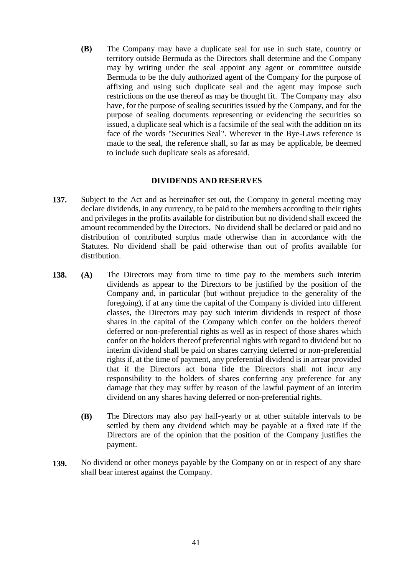**(B)** The Company may have a duplicate seal for use in such state, country or territory outside Bermuda as the Directors shall determine and the Company may by writing under the seal appoint any agent or committee outside Bermuda to be the duly authorized agent of the Company for the purpose of affixing and using such duplicate seal and the agent may impose such restrictions on the use thereof as may be thought fit. The Company may also have, for the purpose of sealing securities issued by the Company, and for the purpose of sealing documents representing or evidencing the securities so issued, a duplicate seal which is a facsimile of the seal with the addition on its face of the words "Securities Seal". Wherever in the Bye-Laws reference is made to the seal, the reference shall, so far as may be applicable, be deemed to include such duplicate seals as aforesaid.

#### **DIVIDENDS AND RESERVES**

- **137.** Subject to the Act and as hereinafter set out, the Company in general meeting may declare dividends, in any currency, to be paid to the members according to their rights and privileges in the profits available for distribution but no dividend shall exceed the amount recommended by the Directors. No dividend shall be declared or paid and no distribution of contributed surplus made otherwise than in accordance with the Statutes. No dividend shall be paid otherwise than out of profits available for distribution.
- **138. (A)** The Directors may from time to time pay to the members such interim dividends as appear to the Directors to be justified by the position of the Company and, in particular (but without prejudice to the generality of the foregoing), if at any time the capital of the Company is divided into different classes, the Directors may pay such interim dividends in respect of those shares in the capital of the Company which confer on the holders thereof deferred or non-preferential rights as well as in respect of those shares which confer on the holders thereof preferential rights with regard to dividend but no interim dividend shall be paid on shares carrying deferred or non-preferential rights if, at the time of payment, any preferential dividend is in arrear provided that if the Directors act bona fide the Directors shall not incur any responsibility to the holders of shares conferring any preference for any damage that they may suffer by reason of the lawful payment of an interim dividend on any shares having deferred or non-preferential rights.
	- **(B)** The Directors may also pay half-yearly or at other suitable intervals to be settled by them any dividend which may be payable at a fixed rate if the Directors are of the opinion that the position of the Company justifies the payment.
- **139.** No dividend or other moneys payable by the Company on or in respect of any share shall bear interest against the Company.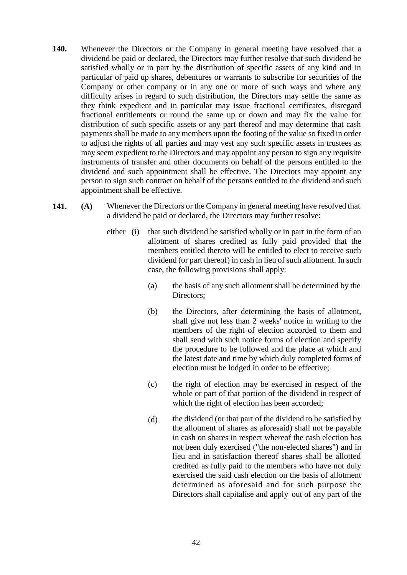- **140.** Whenever the Directors or the Company in general meeting have resolved that a dividend be paid or declared, the Directors may further resolve that such dividend be satisfied wholly or in part by the distribution of specific assets of any kind and in particular of paid up shares, debentures or warrants to subscribe for securities of the Company or other company or in any one or more of such ways and where any difficulty arises in regard to such distribution, the Directors may settle the same as they think expedient and in particular may issue fractional certificates, disregard fractional entitlements or round the same up or down and may fix the value for distribution of such specific assets or any part thereof and may determine that cash payments shall be made to any members upon the footing of the value so fixed in order to adjust the rights of all parties and may vest any such specific assets in trustees as may seem expedient to the Directors and may appoint any person to sign any requisite instruments of transfer and other documents on behalf of the persons entitled to the dividend and such appointment shall be effective. The Directors may appoint any person to sign such contract on behalf of the persons entitled to the dividend and such appointment shall be effective.
- **141. (A)** Whenever the Directors or the Company in general meeting have resolved that a dividend be paid or declared, the Directors may further resolve:
	- either (i) that such dividend be satisfied wholly or in part in the form of an allotment of shares credited as fully paid provided that the members entitled thereto will be entitled to elect to receive such dividend (or part thereof) in cash in lieu of such allotment. In such case, the following provisions shall apply:
		- (a) the basis of any such allotment shall be determined by the Directors;
		- (b) the Directors, after determining the basis of allotment, shall give not less than 2 weeks' notice in writing to the members of the right of election accorded to them and shall send with such notice forms of election and specify the procedure to be followed and the place at which and the latest date and time by which duly completed forms of election must be lodged in order to be effective;
		- (c) the right of election may be exercised in respect of the whole or part of that portion of the dividend in respect of which the right of election has been accorded;
		- (d) the dividend (or that part of the dividend to be satisfied by the allotment of shares as aforesaid) shall not be payable in cash on shares in respect whereof the cash election has not been duly exercised ("the non-elected shares") and in lieu and in satisfaction thereof shares shall be allotted credited as fully paid to the members who have not duly exercised the said cash election on the basis of allotment determined as aforesaid and for such purpose the Directors shall capitalise and apply out of any part of the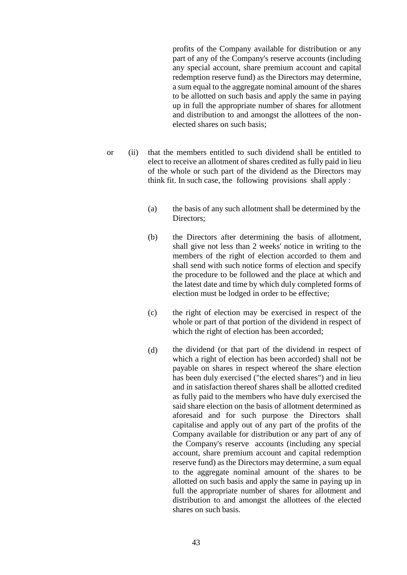profits of the Company available for distribution or any part of any of the Company's reserve accounts (including any special account, share premium account and capital redemption reserve fund) as the Directors may determine, a sum equal to the aggregate nominal amount of the shares to be allotted on such basis and apply the same in paying up in full the appropriate number of shares for allotment and distribution to and amongst the allottees of the nonelected shares on such basis;

- or (ii) that the members entitled to such dividend shall be entitled to elect to receive an allotment of shares credited as fully paid in lieu of the whole or such part of the dividend as the Directors may think fit. In such case, the following provisions shall apply :
	- (a) the basis of any such allotment shall be determined by the Directors;
	- (b) the Directors after determining the basis of allotment, shall give not less than 2 weeks' notice in writing to the members of the right of election accorded to them and shall send with such notice forms of election and specify the procedure to be followed and the place at which and the latest date and time by which duly completed forms of election must be lodged in order to be effective;
	- (c) the right of election may be exercised in respect of the whole or part of that portion of the dividend in respect of which the right of election has been accorded;
	- (d) the dividend (or that part of the dividend in respect of which a right of election has been accorded) shall not be payable on shares in respect whereof the share election has been duly exercised ("the elected shares") and in lieu and in satisfaction thereof shares shall be allotted credited as fully paid to the members who have duly exercised the said share election on the basis of allotment determined as aforesaid and for such purpose the Directors shall capitalise and apply out of any part of the profits of the Company available for distribution or any part of any of the Company's reserve accounts (including any special account, share premium account and capital redemption reserve fund) as the Directors may determine, a sum equal to the aggregate nominal amount of the shares to be allotted on such basis and apply the same in paying up in full the appropriate number of shares for allotment and distribution to and amongst the allottees of the elected shares on such basis.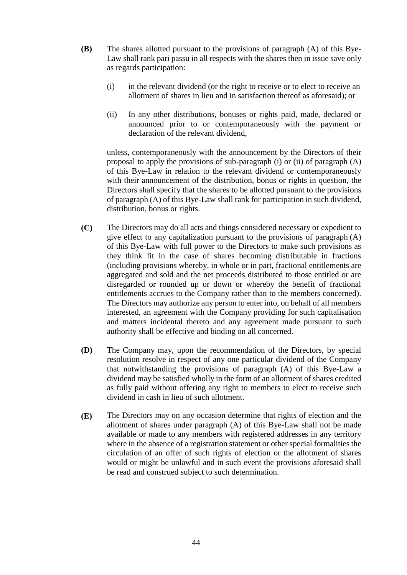- **(B)** The shares allotted pursuant to the provisions of paragraph (A) of this Bye-Law shall rank pari passu in all respects with the shares then in issue save only as regards participation:
	- (i) in the relevant dividend (or the right to receive or to elect to receive an allotment of shares in lieu and in satisfaction thereof as aforesaid); or
	- (ii) In any other distributions, bonuses or rights paid, made, declared or announced prior to or contemporaneously with the payment or declaration of the relevant dividend,

unless, contemporaneously with the announcement by the Directors of their proposal to apply the provisions of sub-paragraph (i) or (ii) of paragraph (A) of this Bye-Law in relation to the relevant dividend or contemporaneously with their announcement of the distribution, bonus or rights in question, the Directors shall specify that the shares to be allotted pursuant to the provisions of paragraph (A) of this Bye-Law shall rank for participation in such dividend, distribution, bonus or rights.

- **(C)** The Directors may do all acts and things considered necessary or expedient to give effect to any capitalization pursuant to the provisions of paragraph (A) of this Bye-Law with full power to the Directors to make such provisions as they think fit in the case of shares becoming distributable in fractions (including provisions whereby, in whole or in part, fractional entitlements are aggregated and sold and the net proceeds distributed to those entitled or are disregarded or rounded up or down or whereby the benefit of fractional entitlements accrues to the Company rather than to the members concerned). The Directors may authorize any person to enter into, on behalf of all members interested, an agreement with the Company providing for such capitalisation and matters incidental thereto and any agreement made pursuant to such authority shall be effective and binding on all concerned.
- **(D)** The Company may, upon the recommendation of the Directors, by special resolution resolve in respect of any one particular dividend of the Company that notwithstanding the provisions of paragraph (A) of this Bye-Law a dividend may be satisfied wholly in the form of an allotment of shares credited as fully paid without offering any right to members to elect to receive such dividend in cash in lieu of such allotment.
- **(E)** The Directors may on any occasion determine that rights of election and the allotment of shares under paragraph (A) of this Bye-Law shall not be made available or made to any members with registered addresses in any territory where in the absence of a registration statement or other special formalities the circulation of an offer of such rights of election or the allotment of shares would or might be unlawful and in such event the provisions aforesaid shall be read and construed subject to such determination.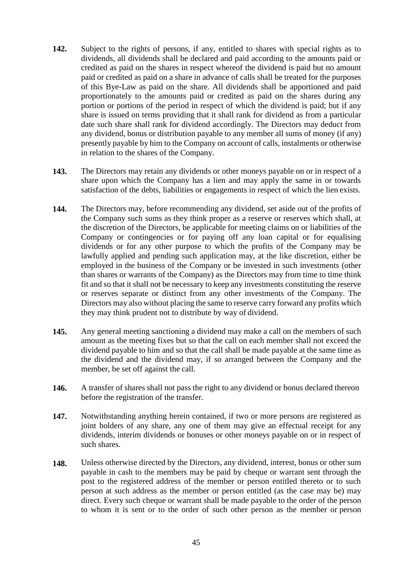- **142.** Subject to the rights of persons, if any, entitled to shares with special rights as to dividends, all dividends shall be declared and paid according to the amounts paid or credited as paid on the shares in respect whereof the dividend is paid but no amount paid or credited as paid on a share in advance of calls shall be treated for the purposes of this Bye-Law as paid on the share. All dividends shall be apportioned and paid proportionately to the amounts paid or credited as paid on the shares during any portion or portions of the period in respect of which the dividend is paid; but if any share is issued on terms providing that it shall rank for dividend as from a particular date such share shall rank for dividend accordingly. The Directors may deduct from any dividend, bonus or distribution payable to any member all sums of money (if any) presently payable by him to the Company on account of calls, instalments or otherwise in relation to the shares of the Company.
- **143.** The Directors may retain any dividends or other moneys payable on or in respect of a share upon which the Company has a lien and may apply the same in or towards satisfaction of the debts, liabilities or engagements in respect of which the lien exists.
- **144.** The Directors may, before recommending any dividend, set aside out of the profits of the Company such sums as they think proper as a reserve or reserves which shall, at the discretion of the Directors, be applicable for meeting claims on or liabilities of the Company or contingencies or for paying off any loan capital or for equalising dividends or for any other purpose to which the profits of the Company may be lawfully applied and pending such application may, at the like discretion, either be employed in the business of the Company or be invested in such investments (other than shares or warrants of the Company) as the Directors may from time to time think fit and so that it shall not be necessary to keep any investments constituting the reserve or reserves separate or distinct from any other investments of the Company. The Directors may also without placing the same to reserve carry forward any profits which they may think prudent not to distribute by way of dividend.
- **145.** Any general meeting sanctioning a dividend may make a call on the members of such amount as the meeting fixes but so that the call on each member shall not exceed the dividend payable to him and so that the call shall be made payable at the same time as the dividend and the dividend may, if so arranged between the Company and the member, be set off against the call.
- **146.** A transfer of shares shall not pass the right to any dividend or bonus declared thereon before the registration of the transfer.
- **147.** Notwithstanding anything herein contained, if two or more persons are registered as joint holders of any share, any one of them may give an effectual receipt for any dividends, interim dividends or bonuses or other moneys payable on or in respect of such shares.
- **148.** Unless otherwise directed by the Directors, any dividend, interest, bonus or other sum payable in cash to the members may be paid by cheque or warrant sent through the post to the registered address of the member or person entitled thereto or to such person at such address as the member or person entitled (as the case may be) may direct. Every such cheque or warrant shall be made payable to the order of the person to whom it is sent or to the order of such other person as the member or person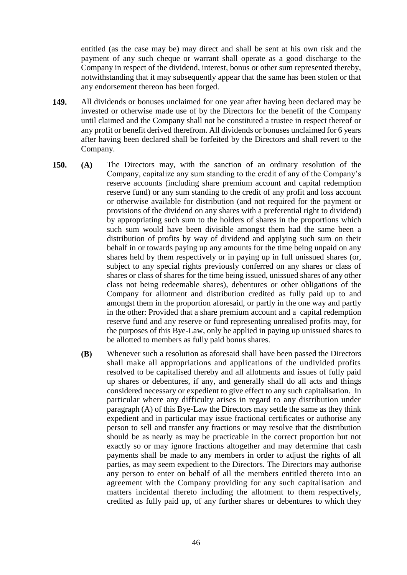entitled (as the case may be) may direct and shall be sent at his own risk and the payment of any such cheque or warrant shall operate as a good discharge to the Company in respect of the dividend, interest, bonus or other sum represented thereby, notwithstanding that it may subsequently appear that the same has been stolen or that any endorsement thereon has been forged.

- **149.** All dividends or bonuses unclaimed for one year after having been declared may be invested or otherwise made use of by the Directors for the benefit of the Company until claimed and the Company shall not be constituted a trustee in respect thereof or any profit or benefit derived therefrom. All dividends or bonuses unclaimed for 6 years after having been declared shall be forfeited by the Directors and shall revert to the Company.
- **150. (A)** The Directors may, with the sanction of an ordinary resolution of the Company, capitalize any sum standing to the credit of any of the Company's reserve accounts (including share premium account and capital redemption reserve fund) or any sum standing to the credit of any profit and loss account or otherwise available for distribution (and not required for the payment or provisions of the dividend on any shares with a preferential right to dividend) by appropriating such sum to the holders of shares in the proportions which such sum would have been divisible amongst them had the same been a distribution of profits by way of dividend and applying such sum on their behalf in or towards paying up any amounts for the time being unpaid on any shares held by them respectively or in paying up in full unissued shares (or, subject to any special rights previously conferred on any shares or class of shares or class of shares for the time being issued, unissued shares of any other class not being redeemable shares), debentures or other obligations of the Company for allotment and distribution credited as fully paid up to and amongst them in the proportion aforesaid, or partly in the one way and partly in the other: Provided that a share premium account and a capital redemption reserve fund and any reserve or fund representing unrealised profits may, for the purposes of this Bye-Law, only be applied in paying up unissued shares to be allotted to members as fully paid bonus shares.
	- **(B)** Whenever such a resolution as aforesaid shall have been passed the Directors shall make all appropriations and applications of the undivided profits resolved to be capitalised thereby and all allotments and issues of fully paid up shares or debentures, if any, and generally shall do all acts and things considered necessary or expedient to give effect to any such capitalisation. In particular where any difficulty arises in regard to any distribution under paragraph (A) of this Bye-Law the Directors may settle the same as they think expedient and in particular may issue fractional certificates or authorise any person to sell and transfer any fractions or may resolve that the distribution should be as nearly as may be practicable in the correct proportion but not exactly so or may ignore fractions altogether and may determine that cash payments shall be made to any members in order to adjust the rights of all parties, as may seem expedient to the Directors. The Directors may authorise any person to enter on behalf of all the members entitled thereto into an agreement with the Company providing for any such capitalisation and matters incidental thereto including the allotment to them respectively, credited as fully paid up, of any further shares or debentures to which they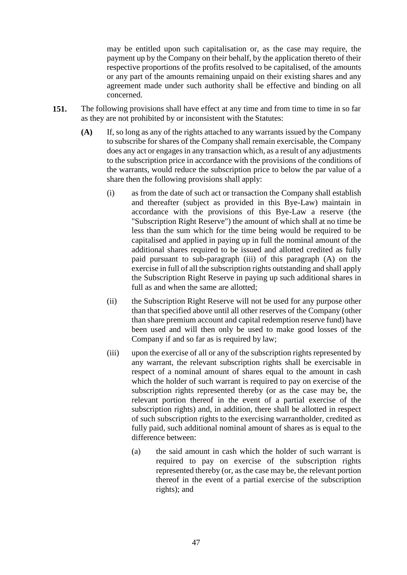may be entitled upon such capitalisation or, as the case may require, the payment up by the Company on their behalf, by the application thereto of their respective proportions of the profits resolved to be capitalised, of the amounts or any part of the amounts remaining unpaid on their existing shares and any agreement made under such authority shall be effective and binding on all concerned.

- **151.** The following provisions shall have effect at any time and from time to time in so far as they are not prohibited by or inconsistent with the Statutes:
	- **(A)** If, so long as any of the rights attached to any warrants issued by the Company to subscribe for shares of the Company shall remain exercisable, the Company does any act or engages in any transaction which, as a result of any adjustments to the subscription price in accordance with the provisions of the conditions of the warrants, would reduce the subscription price to below the par value of a share then the following provisions shall apply:
		- (i) as from the date of such act or transaction the Company shall establish and thereafter (subject as provided in this Bye-Law) maintain in accordance with the provisions of this Bye-Law a reserve (the "Subscription Right Reserve") the amount of which shall at no time be less than the sum which for the time being would be required to be capitalised and applied in paying up in full the nominal amount of the additional shares required to be issued and allotted credited as fully paid pursuant to sub-paragraph (iii) of this paragraph (A) on the exercise in full of all the subscription rights outstanding and shall apply the Subscription Right Reserve in paying up such additional shares in full as and when the same are allotted;
		- (ii) the Subscription Right Reserve will not be used for any purpose other than that specified above until all other reserves of the Company (other than share premium account and capital redemption reserve fund) have been used and will then only be used to make good losses of the Company if and so far as is required by law;
		- (iii) upon the exercise of all or any of the subscription rights represented by any warrant, the relevant subscription rights shall be exercisable in respect of a nominal amount of shares equal to the amount in cash which the holder of such warrant is required to pay on exercise of the subscription rights represented thereby (or as the case may be, the relevant portion thereof in the event of a partial exercise of the subscription rights) and, in addition, there shall be allotted in respect of such subscription rights to the exercising warrantholder, credited as fully paid, such additional nominal amount of shares as is equal to the difference between:
			- (a) the said amount in cash which the holder of such warrant is required to pay on exercise of the subscription rights represented thereby (or, as the case may be, the relevant portion thereof in the event of a partial exercise of the subscription rights); and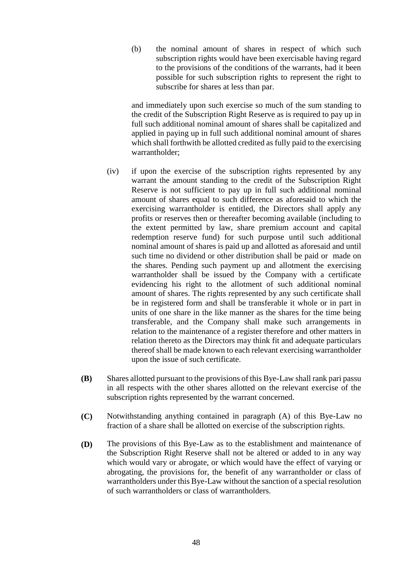(b) the nominal amount of shares in respect of which such subscription rights would have been exercisable having regard to the provisions of the conditions of the warrants, had it been possible for such subscription rights to represent the right to subscribe for shares at less than par.

and immediately upon such exercise so much of the sum standing to the credit of the Subscription Right Reserve as is required to pay up in full such additional nominal amount of shares shall be capitalized and applied in paying up in full such additional nominal amount of shares which shall forthwith be allotted credited as fully paid to the exercising warrantholder;

- (iv) if upon the exercise of the subscription rights represented by any warrant the amount standing to the credit of the Subscription Right Reserve is not sufficient to pay up in full such additional nominal amount of shares equal to such difference as aforesaid to which the exercising warrantholder is entitled, the Directors shall apply any profits or reserves then or thereafter becoming available (including to the extent permitted by law, share premium account and capital redemption reserve fund) for such purpose until such additional nominal amount of shares is paid up and allotted as aforesaid and until such time no dividend or other distribution shall be paid or made on the shares. Pending such payment up and allotment the exercising warrantholder shall be issued by the Company with a certificate evidencing his right to the allotment of such additional nominal amount of shares. The rights represented by any such certificate shall be in registered form and shall be transferable it whole or in part in units of one share in the like manner as the shares for the time being transferable, and the Company shall make such arrangements in relation to the maintenance of a register therefore and other matters in relation thereto as the Directors may think fit and adequate particulars thereof shall be made known to each relevant exercising warrantholder upon the issue of such certificate.
- **(B)** Shares allotted pursuant to the provisions of this Bye-Law shall rank pari passu in all respects with the other shares allotted on the relevant exercise of the subscription rights represented by the warrant concerned.
- **(C)** Notwithstanding anything contained in paragraph (A) of this Bye-Law no fraction of a share shall be allotted on exercise of the subscription rights.
- **(D)** The provisions of this Bye-Law as to the establishment and maintenance of the Subscription Right Reserve shall not be altered or added to in any way which would vary or abrogate, or which would have the effect of varying or abrogating, the provisions for, the benefit of any warrantholder or class of warrantholders under this Bye-Law without the sanction of a special resolution of such warrantholders or class of warrantholders.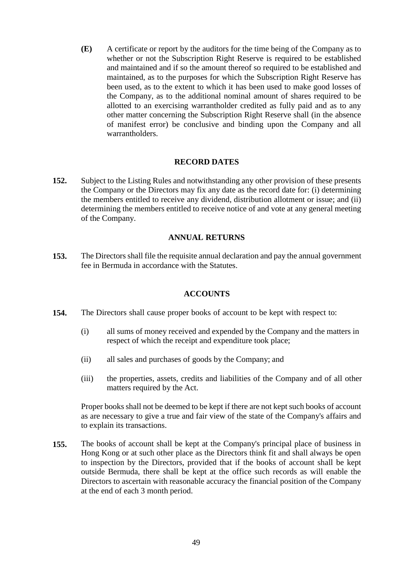**(E)** A certificate or report by the auditors for the time being of the Company as to whether or not the Subscription Right Reserve is required to be established and maintained and if so the amount thereof so required to be established and maintained, as to the purposes for which the Subscription Right Reserve has been used, as to the extent to which it has been used to make good losses of the Company, as to the additional nominal amount of shares required to be allotted to an exercising warrantholder credited as fully paid and as to any other matter concerning the Subscription Right Reserve shall (in the absence of manifest error) be conclusive and binding upon the Company and all warrantholders.

#### **RECORD DATES**

**152.** Subject to the Listing Rules and notwithstanding any other provision of these presents the Company or the Directors may fix any date as the record date for: (i) determining the members entitled to receive any dividend, distribution allotment or issue; and (ii) determining the members entitled to receive notice of and vote at any general meeting of the Company.

#### **ANNUAL RETURNS**

**153.** The Directors shall file the requisite annual declaration and pay the annual government fee in Bermuda in accordance with the Statutes.

# **ACCOUNTS**

- **154.** The Directors shall cause proper books of account to be kept with respect to:
	- (i) all sums of money received and expended by the Company and the matters in respect of which the receipt and expenditure took place;
	- (ii) all sales and purchases of goods by the Company; and
	- (iii) the properties, assets, credits and liabilities of the Company and of all other matters required by the Act.

Proper books shall not be deemed to be kept if there are not kept such books of account as are necessary to give a true and fair view of the state of the Company's affairs and to explain its transactions.

**155.** The books of account shall be kept at the Company's principal place of business in Hong Kong or at such other place as the Directors think fit and shall always be open to inspection by the Directors, provided that if the books of account shall be kept outside Bermuda, there shall be kept at the office such records as will enable the Directors to ascertain with reasonable accuracy the financial position of the Company at the end of each 3 month period.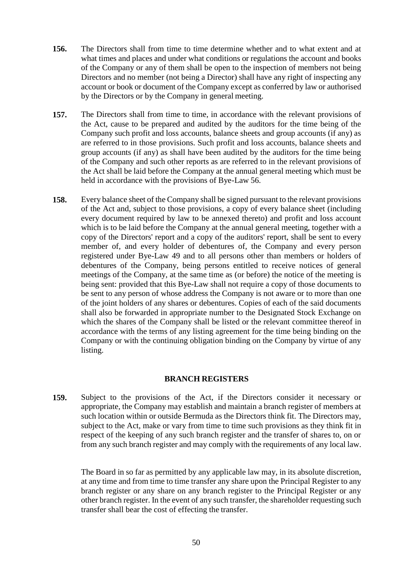- **156.** The Directors shall from time to time determine whether and to what extent and at what times and places and under what conditions or regulations the account and books of the Company or any of them shall be open to the inspection of members not being Directors and no member (not being a Director) shall have any right of inspecting any account or book or document of the Company except as conferred by law or authorised by the Directors or by the Company in general meeting.
- **157.** The Directors shall from time to time, in accordance with the relevant provisions of the Act, cause to be prepared and audited by the auditors for the time being of the Company such profit and loss accounts, balance sheets and group accounts (if any) as are referred to in those provisions. Such profit and loss accounts, balance sheets and group accounts (if any) as shall have been audited by the auditors for the time being of the Company and such other reports as are referred to in the relevant provisions of the Act shall be laid before the Company at the annual general meeting which must be held in accordance with the provisions of Bye-Law 56.
- **158.** Every balance sheet of the Company shall be signed pursuant to the relevant provisions of the Act and, subject to those provisions, a copy of every balance sheet (including every document required by law to be annexed thereto) and profit and loss account which is to be laid before the Company at the annual general meeting, together with a copy of the Directors' report and a copy of the auditors' report, shall be sent to every member of, and every holder of debentures of, the Company and every person registered under Bye-Law 49 and to all persons other than members or holders of debentures of the Company, being persons entitled to receive notices of general meetings of the Company, at the same time as (or before) the notice of the meeting is being sent: provided that this Bye-Law shall not require a copy of those documents to be sent to any person of whose address the Company is not aware or to more than one of the joint holders of any shares or debentures. Copies of each of the said documents shall also be forwarded in appropriate number to the Designated Stock Exchange on which the shares of the Company shall be listed or the relevant committee thereof in accordance with the terms of any listing agreement for the time being binding on the Company or with the continuing obligation binding on the Company by virtue of any listing.

# **BRANCH REGISTERS**

**159.** Subject to the provisions of the Act, if the Directors consider it necessary or appropriate, the Company may establish and maintain a branch register of members at such location within or outside Bermuda as the Directors think fit. The Directors may, subject to the Act, make or vary from time to time such provisions as they think fit in respect of the keeping of any such branch register and the transfer of shares to, on or from any such branch register and may comply with the requirements of any local law.

The Board in so far as permitted by any applicable law may, in its absolute discretion, at any time and from time to time transfer any share upon the Principal Register to any branch register or any share on any branch register to the Principal Register or any other branch register. In the event of any such transfer, the shareholder requesting such transfer shall bear the cost of effecting the transfer.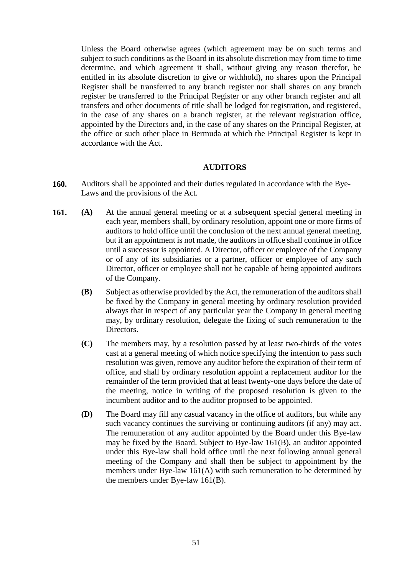Unless the Board otherwise agrees (which agreement may be on such terms and subject to such conditions as the Board in its absolute discretion may from time to time determine, and which agreement it shall, without giving any reason therefor, be entitled in its absolute discretion to give or withhold), no shares upon the Principal Register shall be transferred to any branch register nor shall shares on any branch register be transferred to the Principal Register or any other branch register and all transfers and other documents of title shall be lodged for registration, and registered, in the case of any shares on a branch register, at the relevant registration office, appointed by the Directors and, in the case of any shares on the Principal Register, at the office or such other place in Bermuda at which the Principal Register is kept in accordance with the Act.

#### **AUDITORS**

- **160.** Auditors shall be appointed and their duties regulated in accordance with the Bye-Laws and the provisions of the Act.
- **161. (A)** At the annual general meeting or at a subsequent special general meeting in each year, members shall, by ordinary resolution, appoint one or more firms of auditors to hold office until the conclusion of the next annual general meeting, but if an appointment is not made, the auditors in office shall continue in office until a successor is appointed. A Director, officer or employee of the Company or of any of its subsidiaries or a partner, officer or employee of any such Director, officer or employee shall not be capable of being appointed auditors of the Company.
	- **(B)** Subject as otherwise provided by the Act, the remuneration of the auditors shall be fixed by the Company in general meeting by ordinary resolution provided always that in respect of any particular year the Company in general meeting may, by ordinary resolution, delegate the fixing of such remuneration to the Directors.
	- **(C)** The members may, by a resolution passed by at least two-thirds of the votes cast at a general meeting of which notice specifying the intention to pass such resolution was given, remove any auditor before the expiration of their term of office, and shall by ordinary resolution appoint a replacement auditor for the remainder of the term provided that at least twenty-one days before the date of the meeting, notice in writing of the proposed resolution is given to the incumbent auditor and to the auditor proposed to be appointed.
	- **(D)** The Board may fill any casual vacancy in the office of auditors, but while any such vacancy continues the surviving or continuing auditors (if any) may act. The remuneration of any auditor appointed by the Board under this Bye-law may be fixed by the Board. Subject to Bye-law 161(B), an auditor appointed under this Bye-law shall hold office until the next following annual general meeting of the Company and shall then be subject to appointment by the members under Bye-law 161(A) with such remuneration to be determined by the members under Bye-law 161(B).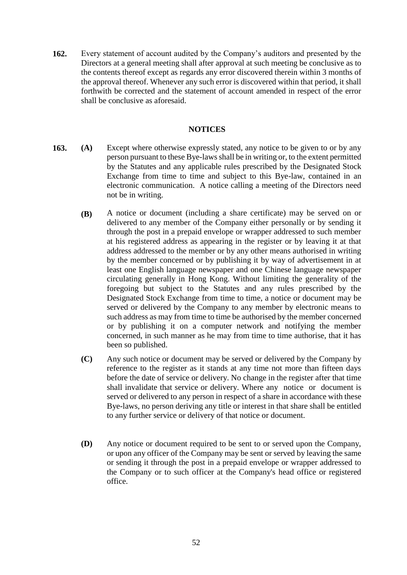**162.** Every statement of account audited by the Company's auditors and presented by the Directors at a general meeting shall after approval at such meeting be conclusive as to the contents thereof except as regards any error discovered therein within 3 months of the approval thereof. Whenever any such error is discovered within that period, it shall forthwith be corrected and the statement of account amended in respect of the error shall be conclusive as aforesaid.

# **NOTICES**

- **163. (A)** Except where otherwise expressly stated, any notice to be given to or by any person pursuant to these Bye-laws shall be in writing or, to the extent permitted by the Statutes and any applicable rules prescribed by the Designated Stock Exchange from time to time and subject to this Bye-law, contained in an electronic communication. A notice calling a meeting of the Directors need not be in writing.
	- **(B)** A notice or document (including a share certificate) may be served on or delivered to any member of the Company either personally or by sending it through the post in a prepaid envelope or wrapper addressed to such member at his registered address as appearing in the register or by leaving it at that address addressed to the member or by any other means authorised in writing by the member concerned or by publishing it by way of advertisement in at least one English language newspaper and one Chinese language newspaper circulating generally in Hong Kong. Without limiting the generality of the foregoing but subject to the Statutes and any rules prescribed by the Designated Stock Exchange from time to time, a notice or document may be served or delivered by the Company to any member by electronic means to such address as may from time to time be authorised by the member concerned or by publishing it on a computer network and notifying the member concerned, in such manner as he may from time to time authorise, that it has been so published.
		- **(C)** Any such notice or document may be served or delivered by the Company by reference to the register as it stands at any time not more than fifteen days before the date of service or delivery. No change in the register after that time shall invalidate that service or delivery. Where any notice or document is served or delivered to any person in respect of a share in accordance with these Bye-laws, no person deriving any title or interest in that share shall be entitled to any further service or delivery of that notice or document.
		- **(D)** Any notice or document required to be sent to or served upon the Company, or upon any officer of the Company may be sent or served by leaving the same or sending it through the post in a prepaid envelope or wrapper addressed to the Company or to such officer at the Company's head office or registered office.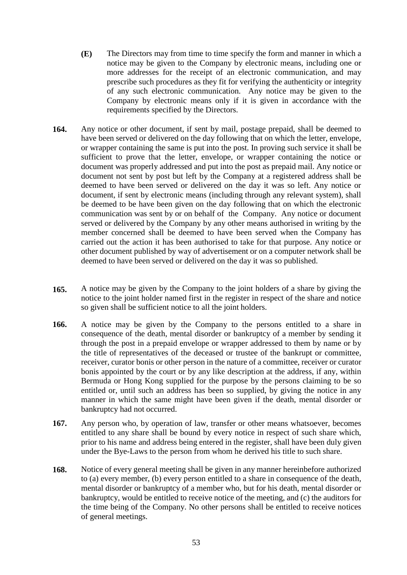- **(E)** The Directors may from time to time specify the form and manner in which a notice may be given to the Company by electronic means, including one or more addresses for the receipt of an electronic communication, and may prescribe such procedures as they fit for verifying the authenticity or integrity of any such electronic communication. Any notice may be given to the Company by electronic means only if it is given in accordance with the requirements specified by the Directors.
- **164.** Any notice or other document, if sent by mail, postage prepaid, shall be deemed to have been served or delivered on the day following that on which the letter, envelope, or wrapper containing the same is put into the post. In proving such service it shall be sufficient to prove that the letter, envelope, or wrapper containing the notice or document was properly addressed and put into the post as prepaid mail. Any notice or document not sent by post but left by the Company at a registered address shall be deemed to have been served or delivered on the day it was so left. Any notice or document, if sent by electronic means (including through any relevant system), shall be deemed to be have been given on the day following that on which the electronic communication was sent by or on behalf of the Company. Any notice or document served or delivered by the Company by any other means authorised in writing by the member concerned shall be deemed to have been served when the Company has carried out the action it has been authorised to take for that purpose. Any notice or other document published by way of advertisement or on a computer network shall be deemed to have been served or delivered on the day it was so published.
- **165.** A notice may be given by the Company to the joint holders of a share by giving the notice to the joint holder named first in the register in respect of the share and notice so given shall be sufficient notice to all the joint holders.
- **166.** A notice may be given by the Company to the persons entitled to a share in consequence of the death, mental disorder or bankruptcy of a member by sending it through the post in a prepaid envelope or wrapper addressed to them by name or by the title of representatives of the deceased or trustee of the bankrupt or committee, receiver, curator bonis or other person in the nature of a committee, receiver or curator bonis appointed by the court or by any like description at the address, if any, within Bermuda or Hong Kong supplied for the purpose by the persons claiming to be so entitled or, until such an address has been so supplied, by giving the notice in any manner in which the same might have been given if the death, mental disorder or bankruptcy had not occurred.
- **167.** Any person who, by operation of law, transfer or other means whatsoever, becomes entitled to any share shall be bound by every notice in respect of such share which, prior to his name and address being entered in the register, shall have been duly given under the Bye-Laws to the person from whom he derived his title to such share.
- **168.** Notice of every general meeting shall be given in any manner hereinbefore authorized to (a) every member, (b) every person entitled to a share in consequence of the death, mental disorder or bankruptcy of a member who, but for his death, mental disorder or bankruptcy, would be entitled to receive notice of the meeting, and (c) the auditors for the time being of the Company. No other persons shall be entitled to receive notices of general meetings.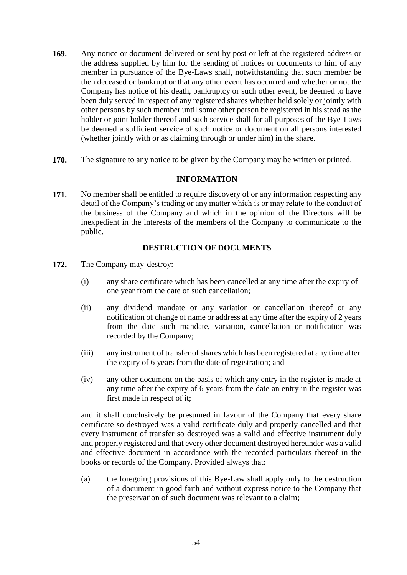- **169.** Any notice or document delivered or sent by post or left at the registered address or the address supplied by him for the sending of notices or documents to him of any member in pursuance of the Bye-Laws shall, notwithstanding that such member be then deceased or bankrupt or that any other event has occurred and whether or not the Company has notice of his death, bankruptcy or such other event, be deemed to have been duly served in respect of any registered shares whether held solely or jointly with other persons by such member until some other person be registered in his stead as the holder or joint holder thereof and such service shall for all purposes of the Bye-Laws be deemed a sufficient service of such notice or document on all persons interested (whether jointly with or as claiming through or under him) in the share.
- **170.** The signature to any notice to be given by the Company may be written or printed.

# **INFORMATION**

**171.** No member shall be entitled to require discovery of or any information respecting any detail of the Company's trading or any matter which is or may relate to the conduct of the business of the Company and which in the opinion of the Directors will be inexpedient in the interests of the members of the Company to communicate to the public.

# **DESTRUCTION OF DOCUMENTS**

- **172.** The Company may destroy:
	- (i) any share certificate which has been cancelled at any time after the expiry of one year from the date of such cancellation;
	- (ii) any dividend mandate or any variation or cancellation thereof or any notification of change of name or address at any time after the expiry of 2 years from the date such mandate, variation, cancellation or notification was recorded by the Company;
	- (iii) any instrument of transfer of shares which has been registered at any time after the expiry of 6 years from the date of registration; and
	- (iv) any other document on the basis of which any entry in the register is made at any time after the expiry of 6 years from the date an entry in the register was first made in respect of it;

and it shall conclusively be presumed in favour of the Company that every share certificate so destroyed was a valid certificate duly and properly cancelled and that every instrument of transfer so destroyed was a valid and effective instrument duly and properly registered and that every other document destroyed hereunder was a valid and effective document in accordance with the recorded particulars thereof in the books or records of the Company. Provided always that:

(a) the foregoing provisions of this Bye-Law shall apply only to the destruction of a document in good faith and without express notice to the Company that the preservation of such document was relevant to a claim;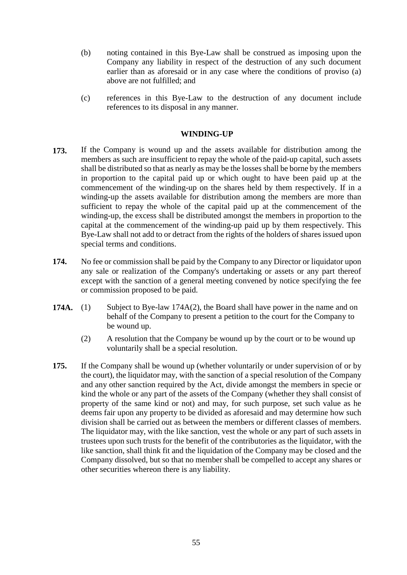- (b) noting contained in this Bye-Law shall be construed as imposing upon the Company any liability in respect of the destruction of any such document earlier than as aforesaid or in any case where the conditions of proviso (a) above are not fulfilled; and
- (c) references in this Bye-Law to the destruction of any document include references to its disposal in any manner.

# **WINDING-UP**

- **173.** If the Company is wound up and the assets available for distribution among the members as such are insufficient to repay the whole of the paid-up capital, such assets shall be distributed so that as nearly as may be the losses shall be borne by the members in proportion to the capital paid up or which ought to have been paid up at the commencement of the winding-up on the shares held by them respectively. If in a winding-up the assets available for distribution among the members are more than sufficient to repay the whole of the capital paid up at the commencement of the winding-up, the excess shall be distributed amongst the members in proportion to the capital at the commencement of the winding-up paid up by them respectively. This Bye-Law shall not add to or detract from the rights of the holders of shares issued upon special terms and conditions.
- **174.** No fee or commission shall be paid by the Company to any Director or liquidator upon any sale or realization of the Company's undertaking or assets or any part thereof except with the sanction of a general meeting convened by notice specifying the fee or commission proposed to be paid.
- **174A.** (1) Subject to Bye-law 174A(2), the Board shall have power in the name and on behalf of the Company to present a petition to the court for the Company to be wound up.
	- (2) A resolution that the Company be wound up by the court or to be wound up voluntarily shall be a special resolution.
- **175.** If the Company shall be wound up (whether voluntarily or under supervision of or by the court), the liquidator may, with the sanction of a special resolution of the Company and any other sanction required by the Act, divide amongst the members in specie or kind the whole or any part of the assets of the Company (whether they shall consist of property of the same kind or not) and may, for such purpose, set such value as he deems fair upon any property to be divided as aforesaid and may determine how such division shall be carried out as between the members or different classes of members. The liquidator may, with the like sanction, vest the whole or any part of such assets in trustees upon such trusts for the benefit of the contributories as the liquidator, with the like sanction, shall think fit and the liquidation of the Company may be closed and the Company dissolved, but so that no member shall be compelled to accept any shares or other securities whereon there is any liability.